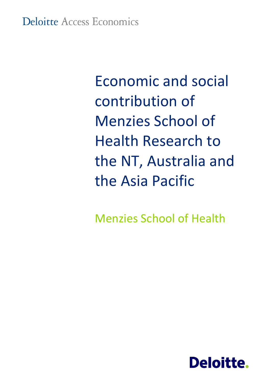Economic and social contribution of Menzies School of Health Research to the NT, Australia and the Asia Pacific

Menzies School of Health

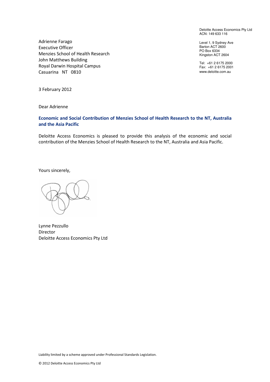Deloitte Access Economics Pty Ltd ACN: 149 633 116

Level 1, 9 Sydney Ave Barton ACT 2600 PO Box 6334 Kingston ACT 2604

Tel: +61 2 6175 2000 Fax: +61 2 6175 2001 www.deloitte.com.au

Adrienne Farago Executive Officer Menzies School of Health Research John Matthews Building Royal Darwin Hospital Campus Casuarina NT 0810

3 February 2012

Dear Adrienne

#### Economic and Social Contribution of Menzies School of Health Research to the NT, Australia and the Asia Pacific

Deloitte Access Economics is pleased to provide this analysis of the economic and social contribution of the Menzies School of Health Research to the NT, Australia and Asia Pacific.

Yours sincerely,

Lynne Pezzullo Director Deloitte Access Economics Pty Ltd

Liability limited by a scheme approved under Professional Standards Legislation.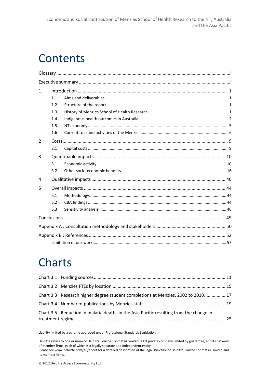# **Contents**

| 1 |     |  |  |  |  |  |  |
|---|-----|--|--|--|--|--|--|
|   | 1.1 |  |  |  |  |  |  |
|   | 1.2 |  |  |  |  |  |  |
|   | 1.3 |  |  |  |  |  |  |
|   | 1.4 |  |  |  |  |  |  |
|   | 1.5 |  |  |  |  |  |  |
|   | 1.6 |  |  |  |  |  |  |
| 2 |     |  |  |  |  |  |  |
|   | 2.1 |  |  |  |  |  |  |
| 3 |     |  |  |  |  |  |  |
|   | 3.1 |  |  |  |  |  |  |
|   | 3.2 |  |  |  |  |  |  |
| 4 |     |  |  |  |  |  |  |
| 5 |     |  |  |  |  |  |  |
|   | 5.1 |  |  |  |  |  |  |
|   | 5.2 |  |  |  |  |  |  |
|   | 5.3 |  |  |  |  |  |  |
|   |     |  |  |  |  |  |  |
|   |     |  |  |  |  |  |  |
|   |     |  |  |  |  |  |  |
|   |     |  |  |  |  |  |  |

# Charts

| Chart 3.3 : Research higher degree student completions at Menzies, 2002 to 2010 17       |  |
|------------------------------------------------------------------------------------------|--|
|                                                                                          |  |
| Chart 3.5 : Reduction in malaria deaths in the Asia Pacific resulting from the change in |  |

Liability limited by a scheme approved under Professional Standards Legislation.

Deloitte refers to one or more of Deloitte Touche Tohmatsu Limited, a UK private company limited by guarantee, and its network of member firms, each of which is a legally separate and independent entity. Please see www.deloitte.com/au/about for a detailed description of the legal structure of Deloitte Touche Tohmatsu Limited and its member firms.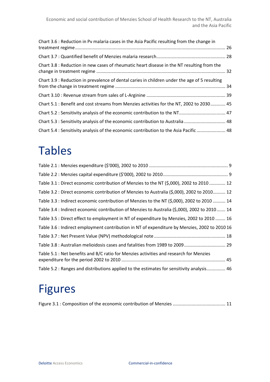| Chart 3.6 : Reduction in Pv malaria cases in the Asia Pacific resulting from the change in    |  |
|-----------------------------------------------------------------------------------------------|--|
|                                                                                               |  |
| Chart 3.8 : Reduction in new cases of rheumatic heart disease in the NT resulting from the    |  |
| Chart 3.9 : Reduction in prevalence of dental caries in children under the age of 5 resulting |  |
|                                                                                               |  |
| Chart 5.1 : Benefit and cost streams from Menzies activities for the NT, 2002 to 2030 45      |  |
| Chart 5.2 : Sensitivity analysis of the economic contribution to the NT 47                    |  |
| Chart 5.3 : Sensitivity analysis of the economic contribution to Australia  48                |  |
| Chart 5.4 : Sensitivity analysis of the economic contribution to the Asia Pacific  48         |  |

# Tables

| Table 3.1 : Direct economic contribution of Menzies to the NT (\$,000), 2002 to 2010  12      |
|-----------------------------------------------------------------------------------------------|
| Table 3.2 : Direct economic contribution of Menzies to Australia (\$,000), 2002 to 2010 12    |
| Table 3.3 : Indirect economic contribution of Menzies to the NT (\$,000), 2002 to 2010  14    |
| Table 3.4 : Indirect economic contribution of Menzies to Australia (\$,000), 2002 to 2010 14  |
| Table 3.5 : Direct effect to employment in NT of expenditure by Menzies, 2002 to 2010  16     |
| Table 3.6 : Indirect employment contribution in NT of expenditure by Menzies, 2002 to 2010 16 |
|                                                                                               |
| Table 3.8 : Australian melioidosis cases and fatalities from 1989 to 2009 29                  |
| Table 5.1 : Net benefits and B/C ratio for Menzies activities and research for Menzies        |
| Table 5.2 : Ranges and distributions applied to the estimates for sensitivity analysis 46     |

# Figures

|--|--|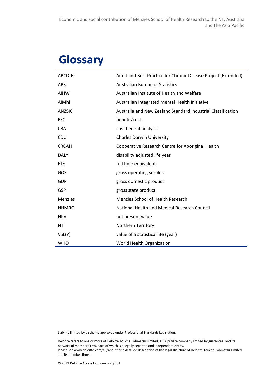# **Glossary**

| ABCD(E)        | Audit and Best Practice for Chronic Disease Project (Extended) |
|----------------|----------------------------------------------------------------|
| <b>ABS</b>     | <b>Australian Bureau of Statistics</b>                         |
| <b>AIHW</b>    | Australian Institute of Health and Welfare                     |
| AIMhi          | Australian Integrated Mental Health Initiative                 |
| <b>ANZSIC</b>  | Australia and New Zealand Standard Industrial Classification   |
| B/C            | benefit/cost                                                   |
| <b>CBA</b>     | cost benefit analysis                                          |
| <b>CDU</b>     | <b>Charles Darwin University</b>                               |
| <b>CRCAH</b>   | Cooperative Research Centre for Aboriginal Health              |
| <b>DALY</b>    | disability adjusted life year                                  |
| <b>FTE</b>     | full time equivalent                                           |
| GOS            | gross operating surplus                                        |
| <b>GDP</b>     | gross domestic product                                         |
| <b>GSP</b>     | gross state product                                            |
| <b>Menzies</b> | Menzies School of Health Research                              |
| <b>NHMRC</b>   | National Health and Medical Research Council                   |
| <b>NPV</b>     | net present value                                              |
| <b>NT</b>      | Northern Territory                                             |
| VSL(Y)         | value of a statistical life (year)                             |
| <b>WHO</b>     | World Health Organization                                      |

Liability limited by a scheme approved under Professional Standards Legislation.

Deloitte refers to one or more of Deloitte Touche Tohmatsu Limited, a UK private company limited by guarantee, and its network of member firms, each of which is a legally separate and independent entity. Please see www.deloitte.com/au/about for a detailed description of the legal structure of Deloitte Touche Tohmatsu Limited and its member firms.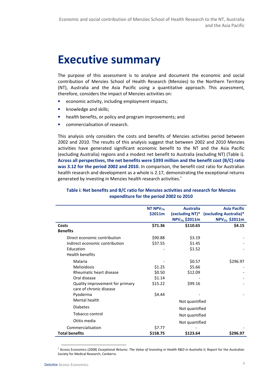# Executive summary

The purpose of this assessment is to analyse and document the economic and social contribution of Menzies School of Health Research (Menzies) to the Northern Territory (NT), Australia and the Asia Pacific using a quantitative approach. This assessment, therefore, considers the impact of Menzies activities on:

- economic activity, including employment impacts;
- knowledge and skills;
- health benefits, or policy and program improvements; and
- commercialisation of research.

This analysis only considers the costs and benefits of Menzies activities period between 2002 and 2010. The results of this analysis suggest that between 2002 and 2010 Menzies activities have generated significant economic benefit to the NT and the Asia Pacific (excluding Australia) regions and a modest net benefit to Australia (excluding NT) (Table i). Across all perspectives, the net benefits were \$393 million and the benefit cost (B/C) ratio was 3.12 for the period 2002 and 2010. In comparison, the benefit cost ratio for Australian health research and development as a whole is 2.17, demonstrating the exceptional returns generated by investing in Menzies health research activities.<sup>1</sup>

|                                 | NT NPV <sub>7%</sub> | <b>Australia</b>          | <b>Asia Pacific</b>                    |
|---------------------------------|----------------------|---------------------------|----------------------------------------|
|                                 | \$2011m              |                           | (excluding NT)* (excluding Australia)* |
|                                 |                      | NPV <sub>7%</sub> \$2011m | NPV <sub>7%</sub> \$2011m              |
| Costs                           | \$71.36              | \$110.65                  | \$4.15                                 |
| <b>Benefits</b>                 |                      |                           |                                        |
| Direct economic contribution    | \$90.88              | \$3.19                    |                                        |
| Indirect economic contribution  | \$37.55              | \$1.45                    |                                        |
| Education                       |                      | \$1.52                    |                                        |
| <b>Health benefits</b>          |                      |                           |                                        |
| Malaria                         |                      | \$0.57                    | \$296.97                               |
| Melioidosis                     | \$1.25               | \$5.66                    |                                        |
| Rheumatic heart disease         | \$0.50               | \$12.09                   |                                        |
| Oral disease                    | \$1.14               |                           |                                        |
| Quality improvement for primary | \$15.22              | \$99.16                   |                                        |
| care of chronic disease         |                      |                           |                                        |
| Pyoderma                        | \$4.44               |                           |                                        |
| Mental health                   |                      | Not quantified            |                                        |
| <b>Diabetes</b>                 |                      | Not quantified            |                                        |
| Tobacco control                 |                      | Not quantified            |                                        |
| Otitis media                    |                      | Not quantified            |                                        |
| Commercialisation               | \$7.77               |                           |                                        |
| <b>Total benefits</b>           | \$158.75             | \$123.64                  | \$296.97                               |

#### Table i: Net benefits and B/C ratio for Menzies activities and research for Menzies expenditure for the period 2002 to 2010

l

<sup>&</sup>lt;sup>1</sup> Access Economics (2008) Exceptional Returns: The Value of Investing in Health R&D in Australia II, Report for the Australian Society for Medical Research, Canberra.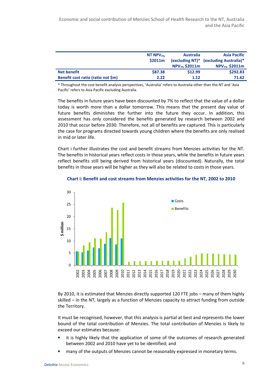|                                    | NT NPV $_{7\%}$<br>\$2011m | <b>Australia</b><br>$NPV_{7\%}$ \$2011m | <b>Asia Pacific</b><br>(excluding NT)* (excluding Australia)*<br>$NPV_{7\%}$ \$2011m |
|------------------------------------|----------------------------|-----------------------------------------|--------------------------------------------------------------------------------------|
| <b>Net benefit</b>                 | \$87.38                    | \$12.99                                 | \$292.83                                                                             |
| Benefit cost ratio (ratio not \$m) | 2.22                       | 1.12                                    | 71.62                                                                                |

\* Throughout the cost benefit analysis perspectives, 'Australia' refers to Australia other than the NT and 'Asia Pacific' refers to Asia Pacific excluding Australia.

The benefits in future years have been discounted by 7% to reflect that the value of a dollar today is worth more than a dollar tomorrow. This means that the present day value of future benefits diminishes the further into the future they occur. In addition, this assessment has only considered the benefits generated by research between 2002 and 2010 that occur before 2030. Therefore, not all of benefits are captured. This is particularly the case for programs directed towards young children where the benefits are only realised in mid or later life.

Chart i further illustrates the cost and benefit streams from Menzies activities for the NT. The benefits in historical years reflect costs in those years, while the benefits in future years reflect benefits still being derived from historical years (discounted). Naturally, the total benefits in those years will be higher as they will also be related to costs in those years.



#### Chart i: Benefit and cost streams from Menzies activities for the NT, 2002 to 2010

By 2010, it is estimated that Menzies directly supported 120 FTE jobs – many of them highly skilled – in the NT, largely as a function of Menzies capacity to attract funding from outside the Territory.

It must be recognised, however, that this analysis is partial at best and represents the lower bound of the total contribution of Menzies. The total contribution of Menzies is likely to exceed our estimates because:

- it is highly likely that the application of some of the outcomes of research generated between 2002 and 2010 have yet to be identified; and
- many of the outputs of Menzies cannot be reasonably expressed in monetary terms.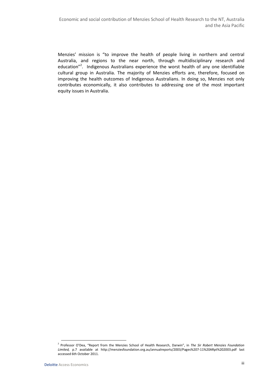Menzies' mission is "to improve the health of people living in northern and central Australia, and regions to the near north, through multidisciplinary research and education"<sup>2</sup>. Indigenous Australians experience the worst health of any one identifiable cultural group in Australia. The majority of Menzies efforts are, therefore, focused on improving the health outcomes of Indigenous Australians. In doing so, Menzies not only contributes economically, it also contributes to addressing one of the most important equity issues in Australia.

 $\overline{\phantom{0}}$ <sup>2</sup> Professor O'Dea, "Report from the Menzies School of Health Research, Darwin", in The Sir Robert Menzies Foundation Limited, p.7 available at http://menziesfoundation.org.au/annualreports/2003/Pages%207-11%20ARpt%202003.pdf last accessed 6th October 2011.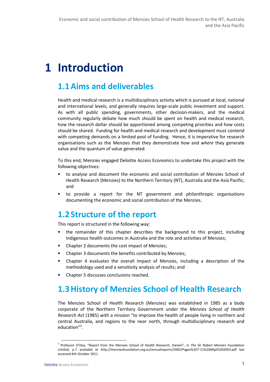# 1 Introduction

# 1.1Aims and deliverables

Health and medical research is a multidisciplinary activity which is pursued at local, national and international levels, and generally requires large-scale public investment and support. As with all public spending, governments, other decision-makers, and the medical community regularly debate how much should be spent on health and medical research, how the research dollar should be apportioned among competing priorities and how costs should be shared. Funding for health and medical research and development must contend with competing demands on a limited pool of funding. Hence, it is imperative for research organisations such as the Menzies that they demonstrate how and where they generate value and the quantum of value generated.

To this end, Menzies engaged Deloitte Access Economics to undertake this project with the following objectives:

- to analyse and document the economic and social contribution of Menzies School of Health Research (Menzies) to the Northern Territory (NT), Australia and the Asia Pacific; and
- to provide a report for the NT government and philanthropic organisations documenting the economic and social contribution of the Menzies.

# 1.2 Structure of the report

This report is structured in the following way:

- the remainder of this chapter describes the background to this project, including Indigenous health outcomes in Australia and the role and activities of Menzies;
- Chapter 2 documents the cost impact of Menzies;
- Chapter 3 documents the benefits contributed by Menzies;
- Chapter 4 evaluates the overall impact of Menzies, including a description of the methodology used and a sensitivity analysis of results; and
- Chapter 5 discusses conclusions reached.

# 1.3History of Menzies School of Health Research

The Menzies School of Health Research (Menzies) was established in 1985 as a body corporate of the Northern Territory Government under the Menzies School of Health Research Act (1985) with a mission "to improve the health of people living in northern and central Australia, and regions to the near north, through multidisciplinary research and education"<sup>3</sup>.

<sup>&</sup>lt;sup>3</sup> Professor O'Dea, "Report from the Menzies School of Health Research, Darwin", in The Sir Robert Menzies Foundation Limited, p.7 available at http://menziesfoundation.org.au/annualreports/2003/Pages%207-11%20ARpt%202003.pdf last accessed 6th October 2011.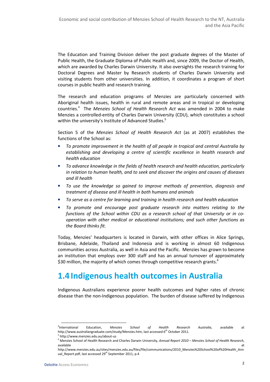The Education and Training Division deliver the post graduate degrees of the Master of Public Health, the Graduate Diploma of Public Health and, since 2009, the Doctor of Health, which are awarded by Charles Darwin University. It also oversights the research training for Doctoral Degrees and Master by Research students of Charles Darwin University and visiting students from other universities. In addition, it coordinates a program of short courses in public health and research training.

The research and education programs of Menzies are particularly concerned with Aboriginal health issues, health in rural and remote areas and in tropical or developing countries.<sup>4</sup> The Menzies School of Health Research Act was amended in 2004 to make Menzies a controlled-entity of Charles Darwin University (CDU), which constitutes a school within the university's Institute of Advanced Studies.<sup>5</sup>

Section 5 of the Menzies School of Health Research Act (as at 2007) establishes the functions of the School as:

- To promote improvement in the health of all people in tropical and central Australia by establishing and developing a centre of scientific excellence in health research and health education
- To advance knowledge in the fields of health research and health education, particularly in relation to human health, and to seek and discover the origins and causes of diseases and ill health
- To use the knowledge so gained to improve methods of prevention, diagnosis and treatment of disease and ill health in both humans and animals
- To serve as a centre for learning and training in health research and health education
- To promote and encourage post graduate research into matters relating to the functions of the School within CDU as a research school of that University or in cooperation with other medical or educational institutions; and such other functions as the Board thinks fit.

Today, Menzies' headquarters is located in Darwin, with other offices in Alice Springs, Brisbane, Adelaide, Thailand and Indonesia and is working in almost 60 Indigenous communities across Australia, as well in Asia and the Pacific. Menzies has grown to become an institution that employs over 300 staff and has an annual turnover of approximately \$30 million, the majority of which comes through competitive research grants.<sup>6</sup>

# 1.4 Indigenous health outcomes in Australia

Indigenous Australians experience poorer health outcomes and higher rates of chronic disease than the non-Indigenous population. The burden of disease suffered by Indigenous

<sup>&</sup>lt;sup>4</sup>International International Education, Menzies School of Health Research Australia, available at http://www.australiangraduate.com/study/Menzies.htm, last accessed 6<sup>th</sup> October 2011.

<sup>5</sup> http://www.menzies.edu.au/about-us

<sup>&</sup>lt;sup>6</sup> Menzies School of Health Research and Charles Darwin University, A*nnual Report 2010 – Menzies School of Health Research*, available at the contract of the contract of the contract of the contract of the contract of the contract of the contract of the contract of the contract of the contract of the contract of the contract of the contract of t

http://www.menzies.edu.au/sites/menzies.edu.au/files/file/communications/2010\_Menzies%20School%20of%20Health\_Ann ual Report.pdf, last accessed 29<sup>th</sup> September 2011, p.4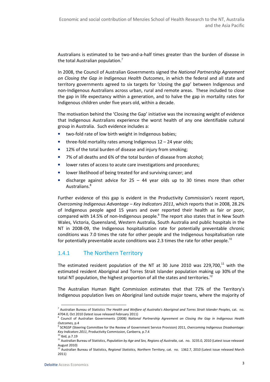Australians is estimated to be two-and-a-half times greater than the burden of disease in the total Australian population.<sup>7</sup>

In 2008, the Council of Australian Governments signed the National Partnership Agreement on Closing the Gap in Indigenous Health Outcomes, in which the federal and all state and territory governments agreed to six targets for 'closing the gap' between Indigenous and non-Indigenous Australians across urban, rural and remote areas. These included to close the gap in life expectancy within a generation, and to halve the gap in mortality rates for Indigenous children under five years old, within a decade.

The motivation behind the 'Closing the Gap' initiative was the increasing weight of evidence that Indigenous Australians experience the worst health of any one identifiable cultural group in Australia. Such evidence includes a:

- two-fold rate of low birth weight in Indigenous babies;
- three-fold mortality rates among Indigenous  $12 24$  year olds;
- 12% of the total burden of disease and injury from smoking;
- 7% of all deaths and 6% of the total burden of disease from alcohol;
- lower rates of access to acute care investigations and procedures;
- lower likelihood of being treated for and surviving cancer; and
- discharge against advice for  $25 44$  year olds up to 30 times more than other Australians.<sup>8</sup>

Further evidence of this gap is evident in the Productivity Commission's recent report, Overcoming Indigenous Advantage – Key Indicators 2011, which reports that in 2008, 28.2% of Indigenous people aged 15 years and over reported their health as fair or poor, compared with 14.5% of non-Indigenous people.<sup>9</sup> The report also states that in New South Wales, Victoria, Queensland, Western Australia, South Australia and public hospitals in the NT in 2008-09, the Indigenous hospitalisation rate for potentially preventable chronic conditions was 7.0 times the rate for other people and the Indigenous hospitalisation rate for potentially preventable acute conditions was 2.3 times the rate for other people.<sup>10</sup>

# 1.4.1 The Northern Territory

The estimated resident population of the NT at 30 June 2010 was 229,700, $^{11}$  with the estimated resident Aboriginal and Torres Strait Islander population making up 30% of the total NT population, the highest proportion of all the states and territories.<sup>12</sup>

The Australian Human Right Commission estimates that that 72% of the Territory's Indigenous population lives on Aboriginal land outside major towns, where the majority of

l

<sup>&</sup>lt;sup>7</sup> Australian Bureau of Statistics The Health and Welfare of Australia's Aboriginal and Torres Strait Islander Peoples, cat. no. 4704.0, Oct 2010 (latest issue released February 2011)

<sup>&</sup>lt;sup>8</sup> Council of Australian Governments (2008) National Partnership Agreement on Closing the Gap in Indigenous Health Outcomes, p.4

<sup>&</sup>lt;sup>9</sup> SCRGSP (Steering Committee for the Review of Government Service Provision) 2011, Overcoming Indigenous Disadvantage: Key Indicators 2011, Productivity Commission, Canberra, p.7.4

 $^{\circ}$  Ibid, p.7.19

<sup>&</sup>lt;sup>11</sup> Australian Bureau of Statistics, Population by Age and Sex, Regions of Australia, cat. no. 3235.0, 2010 (Latest issue released August 2010)

<sup>&</sup>lt;sup>12</sup> Australian Bureau of Statistics, Regional Statistics, Northern Territory, cat. no. 1362.7, 2010 (Latest issue released March 2011)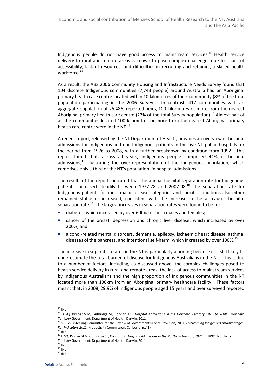Indigenous people do not have good access to mainstream services.<sup>13</sup> Health service delivery to rural and remote areas is known to pose complex challenges due to issues of accessibility, lack of resources, and difficulties in recruiting and retaining a skilled health workforce.<sup>14</sup>

As a result, the ABS 2006 Community Housing and Infrastructure Needs Survey found that 104 discrete Indigenous communities (7,743 people) around Australia had an Aboriginal primary health care centre located within 10 kilometres of their community (8% of the total population participating in the 2006 Survey). In contrast, 417 communities with an aggregate population of 25,486, reported being 100 kilometres or more from the nearest Aboriginal primary health care centre (27% of the total Survey population).<sup>15</sup> Almost half of all the communities located 100 kilometres or more from the nearest Aboriginal primary health care centre were in the NT.<sup>16</sup>

A recent report, released by the NT Department of Health, provides an overview of hospital admissions for Indigenous and non-Indigenous patients in the five NT public hospitals for the period from 1976 to 2008, with a further breakdown by condition from 1992. This report found that, across all years, Indigenous people comprised 41% of hospital admissions, $17$  illustrating the over-representation of the Indigenous population, which comprises only a third of the NT's population, in hospital admissions.

The results of the report indicated that the annual hospital separation rate for Indigenous patients increased steadily between 1977-78 and 2007-08.<sup>18</sup> The separation rate for Indigenous patients for most major disease categories and specific conditions also either remained stable or increased, consistent with the increase in the all causes hospital separation rate.<sup>19</sup> The largest increases in separation rates were found to be for:

- diabetes, which increased by over 600% for both males and females;
- cancer of the breast, depression and chronic liver disease, which increased by over 200%; and
- alcohol-related mental disorders, dementia, epilepsy, ischaemic heart disease, asthma, diseases of the pancreas, and intentional self-harm, which increased by over 100%.<sup>20</sup>

The increase in separation rates in the NT is particularly alarming because it is still likely to underestimate the total burden of disease for Indigenous Australians in the NT. This is due to a number of factors, including, as discussed above, the complex challenges posed to health service delivery in rural and remote areas, the lack of access to mainstream services by Indigenous Australians and the high proportion of Indigenous communities in the NT located more than 100km from an Aboriginal primary healthcare facility. These factors meant that, in 2008, 29.9% of Indigenous people aged 15 years and over surveyed reported

l  $13$  Ibid.

<sup>&</sup>lt;sup>14</sup> Li SQ, Pircher SLM, Guthridge SL, Condon JR. Hospital Admissions in the Northern Territory 1976 to 2008. Northern Territory Government, Department of Health, Darwin, 2011

<sup>&</sup>lt;sup>15</sup> SCRGSP (Steering Committee for the Review of Government Service Provision) 2011, Overcoming Indigenous Disadvantage: Key Indicators 2011, Productivity Commission, Canberra, p.7.17

 $^6$  Ibid.

<sup>&</sup>lt;sup>17</sup> Li SQ, Pircher SLM, Guthridge SL, Condon JR. Hospital Admissions in the Northern Territory 1976 to 2008. Northern Territory Government, Department of Health, Darwin, 2011

 $18$  Ibid.

 $19$  Ibid.

 $20$  Ibid.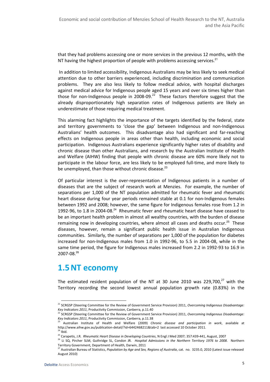that they had problems accessing one or more services in the previous 12 months, with the NT having the highest proportion of people with problems accessing services.<sup>21</sup>

 In addition to limited accessibility, Indigenous Australians may be less likely to seek medical attention due to other barriers experienced, including discrimination and communication problems. They are also less likely to follow medical advice, with hospital discharges against medical advice for Indigenous people aged 15 years and over six times higher than those for non-Indigenous people in 2008-09. $^{22}$  These factors therefore suggest that the already disproportionately high separation rates of Indigenous patients are likely an underestimate of those requiring medical treatment.

This alarming fact highlights the importance of the targets identified by the federal, state and territory governments to 'close the gap' between Indigenous and non-Indigenous Australians' health outcomes. This disadvantage also had significant and far-reaching effects on Indigenous people in areas other than health, including economic and social participation. Indigenous Australians experience significantly higher rates of disability and chronic disease than other Australians, and research by the Australian Institute of Health and Welfare (AIHW) finding that people with chronic disease are 60% more likely not to participate in the labour force, are less likely to be employed full-time, and more likely to be unemployed, than those without chronic disease.<sup>23</sup>

Of particular interest is the over-representation of Indigenous patients in a number of diseases that are the subject of research work at Menzies. For example, the number of separations per 1,000 of the NT population admitted for rheumatic fever and rheumatic heart disease during four year periods remained stable at 0.1 for non-Indigenous females between 1992 and 2008; however, the same figure for Indigenous females rose from 1.2 in 1992-96, to 1.8 in 2004-08.<sup>24</sup> Rheumatic fever and rheumatic heart disease have ceased to be an important health problem in almost all wealthy countries, with the burden of disease remaining now in developing countries, where almost all cases and deaths occur.<sup>25</sup> These diseases, however, remain a significant public health issue in Australian Indigenous communities. Similarly, the number of separations per 1,000 of the population for diabetes increased for non-Indigenous males from 1.0 in 1992-96, to 5.5 in 2004-08, while in the same time period, the figure for Indigenous males increased from 2.2 in 1992-93 to 16.9 in  $2007 - 08.<sup>26</sup>$ 

# 1.5NT economy

The estimated resident population of the NT at 30 June 2010 was 229,700, $^{27}$  with the Territory recording the second lowest annual population growth rate (0.83%) in the

<sup>&</sup>lt;sup>21</sup> SCRGSP (Steering Committee for the Review of Government Service Provision) 2011, Overcoming Indigenous Disadvantage: Key Indicators 2011, Productivity Commission, Canberra, p.11.40

<sup>&</sup>lt;sup>22</sup> SCRGSP (Steering Committee for the Review of Government Service Provision) 2011, Overcoming Indigenous Disadvantage: Key Indicators 2011, Productivity Commission, Canberra, p.11.38<br><sup>23</sup> Australian Institute Commission, Canberra, p.11.38

Australian Institute of Health and Welfare (2009) Chronic disease and participation in work, available at http://www.aihw.gov.au/publication-detail/?id=6442468211&tab=2 last accessed 10 October 2011.  $^4$  Ihid.

<sup>&</sup>lt;sup>25</sup> Carapetis, J.R. Rheumatic Heart Disease in Developing Countries, N Engl J Med 2007; 357:439-441, August, 2007

<sup>&</sup>lt;sup>26</sup> Li SQ, Pircher SLM, Guthridge SL, Condon JR. Hospital Admissions in the Northern Territory 1976 to 2008. Northern Territory Government, Department of Health, Darwin, 2011

<sup>&</sup>lt;sup>27</sup> Australian Bureau of Statistics, Population by Age and Sex, Regions of Australia, cat. no. 3235.0, 2010 (Latest issue released August 2010)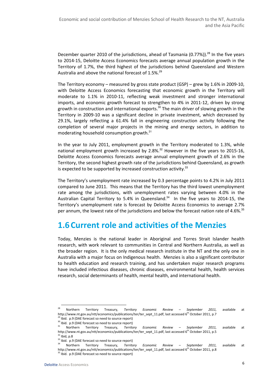December quarter 2010 of the jurisdictions, ahead of Tasmania (0.77%)).<sup>28</sup> In the five years to 2014-15, Deloitte Access Economics forecasts average annual population growth in the Territory of 1.7%, the third highest of the jurisdictions behind Queensland and Western Australia and above the national forecast of 1.5%. $^{29}$ 

The Territory economy – measured by gross state product (GSP) – grew by 1.6% in 2009-10, with Deloitte Access Economics forecasting that economic growth in the Territory will moderate to 1.1% in 2010-11, reflecting weak investment and stronger international imports, and economic growth forecast to strengthen to 4% in 2011-12, driven by strong growth in construction and international exports.<sup>30</sup> The main driver of slowing growth in the Territory in 2009-10 was a significant decline in private investment, which decreased by 29.1%, largely reflecting a 61.4% fall in engineering construction activity following the completion of several major projects in the mining and energy sectors, in addition to moderating household consumption growth.<sup>31</sup>

In the year to July 2011, employment growth in the Territory moderated to 1.3%, while national employment growth increased by 2.8%.<sup>32</sup> However in the five years to 2015-16, Deloitte Access Economics forecasts average annual employment growth of 2.6% in the Territory, the second highest growth rate of the jurisdictions behind Queensland, as growth is expected to be supported by increased construction activity.<sup>33</sup>

The Territory's unemployment rate increased by 0.3 percentage points to 4.2% in July 2011 compared to June 2011. This means that the Territory has the third lowest unemployment rate among the jurisdictions, with unemployment rates varying between 4.0% in the Australian Capital Territory to 5.4% in Queensland. $34$  In the five years to 2014-15, the Territory's unemployment rate is forecast by Deloitte Access Economics to average 2.7% per annum, the lowest rate of the jurisdictions and below the forecast nation rate of 4.6%.<sup>35</sup>

# 1.6 Current role and activities of the Menzies

Today, Menzies is the national leader in Aboriginal and Torres Strait Islander health research, with work relevant to communities in Central and Northern Australia, as well as the broader region. It is the only medical research institute in the NT and the only one in Australia with a major focus on Indigenous health. Menzies is also a significant contributor to health education and research training, and has undertaken major research programs have included infectious diseases, chronic diseases, environmental health, health services research, social determinants of health, mental health, and international health.

l

 $28$  Northern Territory Treasury, Territory Economic Review – September 2011, available at http://www.nt.gov.au/ntt/economics/publications/ter/ter\_sept\_11.pdf, last accessed 6<sup>th</sup> October 2011, p.7 <sup>29</sup> Ibid. p.9 (DAE forecast so need to source report)

<sup>&</sup>lt;sup>30</sup> Ibid. p.9 (DAE forecast so need to source report)

Northern Territory Treasury, Territory Economic Review - September 2011, available at http://www.nt.gov.au/ntt/economics/publications/ter/ter\_sept\_11.pdf, last accessed 6<sup>th</sup> October 2011, p.5  $32$  Ibid, p.8

<sup>&</sup>lt;sup>33</sup> Ibid. p.9 (DAE forecast so need to source report)

Northern Territory Treasury, Territory Economic Review - September 2011, available at http://www.nt.gov.au/ntt/economics/publications/ter/ter\_sept\_11.pdf, last accessed 6<sup>th</sup> October 2011, p.8  $35$  Ibid. p.9 (DAE forecast so need to source report)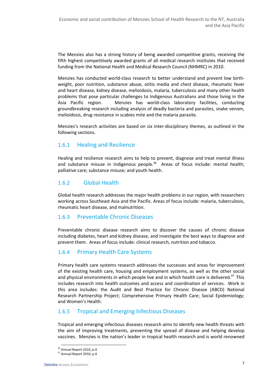The Menzies also has a strong history of being awarded competitive grants, receiving the fifth highest competitively awarded grants of all medical research institutes that received funding from the National Health and Medical Research Council (NHMRC) in 2010.

Menzies has conducted world-class research to better understand and prevent low birthweight, poor nutrition, substance abuse, otitis media and chest disease, rheumatic fever and heart disease, kidney disease, melioidosis, malaria, tuberculosis and many other health problems that pose particular challenges to Indigenous Australians and those living in the Asia Pacific region. Menzies has world-class laboratory facilities, conducting groundbreaking research including analysis of deadly bacteria and parasites, snake venom, melioidosis, drug resistance in scabies mite and the malaria parasite.

Menzies's research activities are based on six inter-disciplinary themes, as outlined in the following sections.

# 1.6.1 Healing and Resilience

Healing and resilience research aims to help to prevent, diagnose and treat mental illness and substance misuse in Indigenous people.<sup>36</sup> Areas of focus include: mental health; palliative care; substance misuse; and youth health.

## 1.6.2 Global Health

Global health research addresses the major health problems in our region, with researchers working across Southeast Asia and the Pacific. Areas of focus include: malaria, tuberculosis, rheumatic heart disease, and malnutrition.

## 1.6.3 Preventable Chronic Diseases

Preventable chronic disease research aims to discover the causes of chronic disease including diabetes, heart and kidney disease, and investigate the best ways to diagnose and prevent them. Areas of focus include: clinical research, nutrition and tobacco.

## 1.6.4 Primary Health Care Systems

Primary health care systems research addresses the successes and areas for improvement of the existing health care, housing and employment systems, as well as the other social and physical environments in which people live and in which health care is delivered. $37$  This includes research into health outcomes and access and coordination of services. Work in this area includes: the Audit and Best Practice for Chronic Disease (ABCD) National Research Partnership Project; Comprehensive Primary Health Care; Social Epidemiology; and Women's Health.

## 1.6.5 Tropical and Emerging Infectious Diseases

Tropical and emerging infectious diseases research aims to identify new health threats with the aim of improving treatments, preventing the spread of disease and helping develop vaccines. Menzies is the nation's leader in tropical health research and is world renowned

l

<sup>&</sup>lt;sup>36</sup> Annual Report 2010, p.4

<sup>&</sup>lt;sup>37</sup> Annual Report 2010, p.4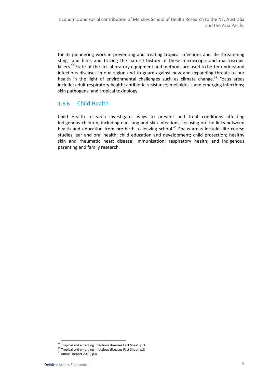for its pioneering work in preventing and treating tropical infections and life threatening stings and bites and tracing the natural history of these microscopic and macroscopic killers.<sup>38</sup> State-of-the-art laboratory equipment and methods are used to better understand infectious diseases in our region and to guard against new and expanding threats to our health in the light of environmental challenges such as climate change.<sup>39</sup> Focus areas include: adult respiratory health; antibiotic resistance; melioidosis and emerging infections; skin pathogens; and tropical toxinology.

# 1.6.6 Child Health

Child Health research investigates ways to prevent and treat conditions affecting Indigenous children, including ear, lung and skin infections, focusing on the links between health and education from pre-birth to leaving school.<sup>40</sup> Focus areas include: life course studies; ear and oral health; child education and development; child protection; healthy skin and rheumatic heart disease; immunisation; respiratory health; and Indigenous parenting and family research.

<sup>&</sup>lt;sup>38</sup> Tropical and emerging infectious diseases Fact Sheet, p.3

 $39$  Tropical and emerging infectious diseases Fact Sheet, p.3

<sup>40</sup> Annual Report 2010, p.4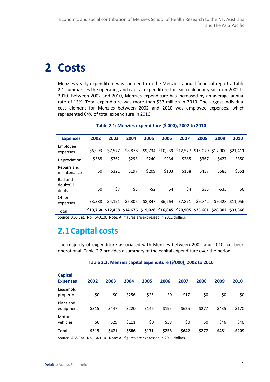# 2 Costs

Menzies yearly expenditure was sourced from the Menzies' annual financial reports. Table 2.1 summarises the operating and capital expenditure for each calendar year from 2002 to 2010. Between 2002 and 2010, Menzies expenditure has increased by an average annual rate of 13%. Total expenditure was more than \$33 million in 2010. The largest individual cost element for Menzies between 2002 and 2010 was employee expenses, which represented 64% of total expenditure in 2010.

| <b>Expenses</b>              | 2002    | 2003    | 2004    | 2005    | 2006    | 2007                               | 2008    | 2009                                                                             | 2010     |
|------------------------------|---------|---------|---------|---------|---------|------------------------------------|---------|----------------------------------------------------------------------------------|----------|
| Employee<br>expenses         | \$6,993 | \$7,577 | \$8,878 |         |         | \$9,734 \$10,239 \$12,577 \$15,079 |         | \$17,900                                                                         | \$21.411 |
| Depreciation                 | \$388   | \$362   | \$293   | \$240   | \$234   | \$285                              | \$367   | \$427                                                                            | \$350    |
| Repairs and<br>maintenance   | \$0     | \$321   | \$197   | \$209   | \$103   | \$168                              | \$437   | \$583                                                                            | \$551    |
| Bad and<br>doubtful<br>debts | \$0     | \$7     | \$3     | $-52$   | \$4     | \$4                                | \$35    | $-535$                                                                           | \$0      |
| Other<br>expenses            | \$3,388 | \$4.191 | \$5,305 | \$8,847 | \$6,264 | \$7,871                            | \$9,742 | \$9.428                                                                          | \$11.056 |
| <b>Total</b>                 |         |         |         |         |         |                                    |         | \$10,768 \$12,458 \$14,676 \$19,028 \$16,845 \$20,905 \$25,661 \$28,302 \$33,368 |          |

#### Table 2.1: Menzies expenditure (\$'000), 2002 to 2010

Source: ABS Cat. No. 6401.0. Note: All figures are expressed in 2011 dollars.

# 2.1 Capital costs

The majority of expenditure associated with Menzies between 2002 and 2010 has been operational. Table 2.2 provides a summary of the capital expenditure over the period.

| Table 2.2: Menzies capital expenditure (\$'000), 2002 to 2010 |  |  |
|---------------------------------------------------------------|--|--|
|---------------------------------------------------------------|--|--|

| <b>Capital</b>         |       |       |       |       |       |       |       |       |       |
|------------------------|-------|-------|-------|-------|-------|-------|-------|-------|-------|
| <b>Expenses</b>        | 2002  | 2003  | 2004  | 2005  | 2006  | 2007  | 2008  | 2009  | 2010  |
| Leasehold<br>property  | \$0   | \$0   | \$256 | \$25  | \$0   | \$17  | \$0   | \$0   | \$0   |
| Plant and<br>equipment | \$315 | \$447 | \$220 | \$146 | \$195 | \$625 | \$277 | \$435 | \$170 |
| Motor<br>vehicles      | \$0   | \$25  | \$111 | \$0   | \$58  | \$0   | \$0   | \$46  | \$40  |
| <b>Total</b>           | \$315 | \$471 | \$586 | \$171 | \$253 | \$642 | \$277 | \$481 | \$209 |

Source: ABS Cat. No. 6401.0. Note: All figures are expressed in 2011 dollars.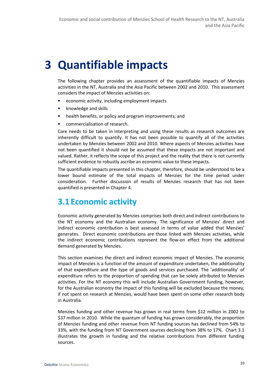# 3 Quantifiable impacts

The following chapter provides an assessment of the quantifiable impacts of Menzies activities in the NT, Australia and the Asia Pacific between 2002 and 2010. This assessment considers the impact of Menzies activities on:

- economic activity, including employment impacts
- knowledge and skills
- health benefits, or policy and program improvements; and
- commercialisation of research.

Care needs to be taken in interpreting and using these results as research outcomes are inherently difficult to quantify. It has not been possible to quantify all of the activities undertaken by Menzies between 2002 and 2010. Where aspects of Menzies activities have not been quantified it should not be assumed that these impacts are not important and valued. Rather, it reflects the scope of this project and the reality that there is not currently sufficient evidence to robustly ascribe an economic value to these impacts.

The quantifiable impacts presented in this chapter, therefore, should be understood to be a lower bound estimate of the total impacts of Menzies for the time period under consideration. Further discussion of results of Menzies research that has not been quantified is presented in Chapter 4.

# 3.1 Economic activity

Economic activity generated by Menzies comprises both direct and indirect contributions to the NT economy and the Australian economy. The significance of Menzies' direct and indirect economic contribution is best assessed in terms of value added that Menzies' generates. Direct economic contributions are those linked with Menzies activities, while the indirect economic contributions represent the flow-on effect from the additional demand generated by Menzies.

This section examines the direct and indirect economic impact of Menzies. The economic impact of Menzies is a function of the amount of expenditure undertaken, the additionality of that expenditure and the type of goods and services purchased. The 'additionality' of expenditure refers to the proportion of spending that can be solely attributed to Menzies activities. For the NT economy this will include Australian Government funding, however, for the Australian economy the impact of this funding will be excluded because the money, if not spent on research at Menzies, would have been spent on some other research body in Australia.

Menzies funding and other revenue has grown in real terms from \$12 million in 2002 to \$37 million in 2010. While the quantum of funding has grown considerably, the proportion of Menzies funding and other revenue from NT funding sources has declined from 54% to 33%, with the funding from NT Government sources declining from 38% to 17%. Chart 3.1 illustrates the growth in funding and the relative contributions from different funding sources.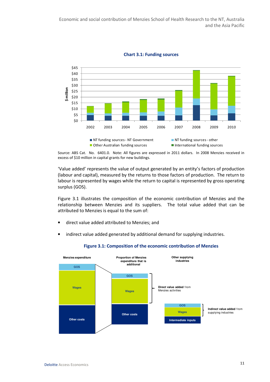

Chart 3.1: Funding sources

Source: ABS Cat. No. 6401.0. Note: All figures are expressed in 2011 dollars. In 2008 Menzies received in excess of \$10 million in capital grants for new buildings.

'Value added' represents the value of output generated by an entity's factors of production (labour and capital), measured by the returns to those factors of production. The return to labour is represented by wages while the return to capital is represented by gross operating surplus (GOS).

Figure 3.1 illustrates the composition of the economic contribution of Menzies and the relationship between Menzies and its suppliers. The total value added that can be attributed to Menzies is equal to the sum of:

- direct value added attributed to Menzies; and
- indirect value added generated by additional demand for supplying industries.



#### Figure 3.1: Composition of the economic contribution of Menzies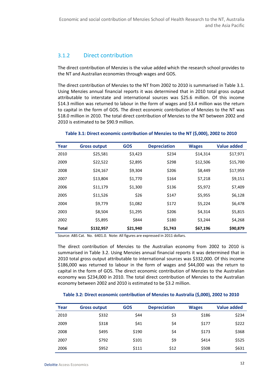# 3.1.2 Direct contribution

The direct contribution of Menzies is the value added which the research school provides to the NT and Australian economies through wages and GOS.

The direct contribution of Menzies to the NT from 2002 to 2010 is summarised in Table 3.1. Using Menzies annual financial reports it was determined that in 2010 total gross output attributable to interstate and international sources was \$25.6 million. Of this income \$14.3 million was returned to labour in the form of wages and \$3.4 million was the return to capital in the form of GOS. The direct economic contribution of Menzies to the NT was \$18.0 million in 2010. The total direct contribution of Menzies to the NT between 2002 and 2010 is estimated to be \$90.9 million.

| Year         | <b>Gross output</b> | <b>GOS</b> | <b>Depreciation</b> | <b>Wages</b> | Value added |
|--------------|---------------------|------------|---------------------|--------------|-------------|
| 2010         | \$25,581            | \$3,423    | \$234               | \$14,314     | \$17,971    |
| 2009         | \$22,522            | \$2,895    | \$298               | \$12,506     | \$15,700    |
| 2008         | \$24,167            | \$9,304    | \$206               | \$8,449      | \$17,959    |
| 2007         | \$13,804            | \$1,770    | \$164               | \$7,218      | \$9,151     |
| 2006         | \$11,179            | \$1,300    | \$136               | \$5,972      | \$7,409     |
| 2005         | \$11,526            | \$26       | \$147               | \$5,955      | \$6,128     |
| 2004         | \$9,779             | \$1,082    | \$172               | \$5,224      | \$6,478     |
| 2003         | \$8,504             | \$1,295    | \$206               | \$4,314      | \$5,815     |
| 2002         | \$5,895             | \$844      | \$180               | \$3,244      | \$4,268     |
| <b>Total</b> | \$132,957           | \$21,940   | \$1,743             | \$67,196     | \$90,879    |

#### Table 3.1: Direct economic contribution of Menzies to the NT (\$,000), 2002 to 2010

Source: ABS Cat. No. 6401.0. Note: All figures are expressed in 2011 dollars.

The direct contribution of Menzies to the Australian economy from 2002 to 2010 is summarised in Table 3.2. Using Menzies annual financial reports it was determined that in 2010 total gross output attributable to international sources was \$332,000. Of this income \$186,000 was returned to labour in the form of wages and \$44,000 was the return to capital in the form of GOS. The direct economic contribution of Menzies to the Australian economy was \$234,000 in 2010. The total direct contribution of Menzies to the Australian economy between 2002 and 2010 is estimated to be \$3.2 million.

#### Table 3.2: Direct economic contribution of Menzies to Australia (\$,000), 2002 to 2010

| Year | <b>Gross output</b> | <b>GOS</b> | <b>Depreciation</b> | <b>Wages</b> | <b>Value added</b> |
|------|---------------------|------------|---------------------|--------------|--------------------|
| 2010 | \$332               | \$44       | \$3                 | \$186        | \$234              |
| 2009 | \$318               | \$41       | \$4                 | \$177        | \$222              |
| 2008 | \$495               | \$190      | \$4                 | \$173        | \$368              |
| 2007 | \$792               | \$101      | \$9                 | \$414        | \$525              |
| 2006 | \$952               | \$111      | \$12                | \$508        | \$631              |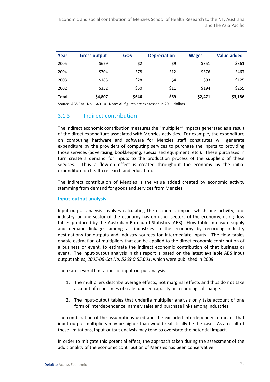Economic and social contribution of Menzies School of Health Research to the NT, Australia and the Asia Pacific

| Year         | <b>Gross output</b> | <b>GOS</b> | <b>Depreciation</b> | <b>Wages</b> | Value added |
|--------------|---------------------|------------|---------------------|--------------|-------------|
| 2005         | \$679               | \$2        | \$9                 | \$351        | \$361       |
| 2004         | \$704               | \$78       | \$12                | \$376        | \$467       |
| 2003         | \$183               | \$28       | \$4                 | \$93         | \$125       |
| 2002         | \$352               | \$50       | \$11                | \$194        | \$255       |
| <b>Total</b> | \$4,807             | \$646      | \$69                | \$2,471      | \$3,186     |

Source: ABS Cat. No. 6401.0. Note: All figures are expressed in 2011 dollars.

## 3.1.3 Indirect contribution

The indirect economic contribution measures the "multiplier" impacts generated as a result of the direct expenditure associated with Menzies activities. For example, the expenditure on computing hardware and software for Menzies staff constitutes will generate expenditure by the providers of computing services to purchase the inputs to providing those services (advertising, bookkeeping, specialised equipment, etc.). These purchases in turn create a demand for inputs to the production process of the suppliers of these services. Thus a flow-on effect is created throughout the economy by the initial expenditure on health research and education.

The indirect contribution of Menzies is the value added created by economic activity stemming from demand for goods and services from Menzies.

#### Input-output analysis

Input-output analysis involves calculating the economic impact which one activity, one industry, or one sector of the economy has on other sectors of the economy, using flow tables produced by the Australian Bureau of Statistics (ABS). Flow tables measure supply and demand linkages among all industries in the economy by recording industry destinations for outputs and industry sources for intermediate inputs. The flow tables enable estimation of multipliers that can be applied to the direct economic contribution of a business or event, to estimate the indirect economic contribution of that business or event. The input-output analysis in this report is based on the latest available ABS input output tables, 2005-06 Cat No. 5209.0.55.001, which were published in 2009.

There are several limitations of input-output analysis.

- 1. The multipliers describe average effects, not marginal effects and thus do not take account of economies of scale, unused capacity or technological change.
- 2. The input-output tables that underlie multiplier analysis only take account of one form of interdependence, namely sales and purchase links among industries.

The combination of the assumptions used and the excluded interdependence means that input-output multipliers may be higher than would realistically be the case. As a result of these limitations, input-output analysis may tend to overstate the potential impact.

In order to mitigate this potential effect, the approach taken during the assessment of the additionality of the economic contribution of Menzies has been conservative.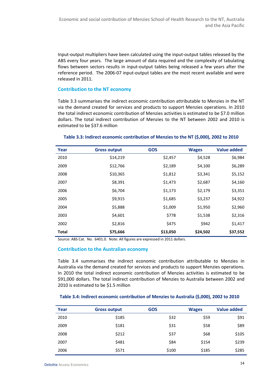Input-output multipliers have been calculated using the input-output tables released by the ABS every four years. The large amount of data required and the complexity of tabulating flows between sectors results in input-output tables being released a few years after the reference period. The 2006-07 input-output tables are the most recent available and were released in 2011.

#### Contribution to the NT economy

Table 3.3 summarises the indirect economic contribution attributable to Menzies in the NT via the demand created for services and products to support Menzies operations. In 2010 the total indirect economic contribution of Menzies activities is estimated to be \$7.0 million dollars. The total indirect contribution of Menzies to the NT between 2002 and 2010 is estimated to be \$37.6 million

| Year         | <b>Gross output</b> | <b>GOS</b> | <b>Wages</b> | <b>Value added</b> |
|--------------|---------------------|------------|--------------|--------------------|
| 2010         | \$14,219            | \$2,457    | \$4,528      | \$6,984            |
| 2009         | \$12,766            | \$2,189    | \$4,100      | \$6,289            |
| 2008         | \$10,365            | \$1,812    | \$3,341      | \$5,152            |
| 2007         | \$8,391             | \$1,473    | \$2,687      | \$4,160            |
| 2006         | \$6,704             | \$1,173    | \$2,179      | \$3,351            |
| 2005         | \$9,915             | \$1,685    | \$3,237      | \$4,922            |
| 2004         | \$5,888             | \$1,009    | \$1,950      | \$2,960            |
| 2003         | \$4,601             | \$778      | \$1,538      | \$2,316            |
| 2002         | \$2,816             | \$475      | \$942        | \$1,417            |
| <b>Total</b> | \$75,666            | \$13,050   | \$24,502     | \$37,552           |

#### Table 3.3: Indirect economic contribution of Menzies to the NT (\$,000), 2002 to 2010

Source: ABS Cat. No. 6401.0. Note: All figures are expressed in 2011 dollars.

#### Contribution to the Australian economy

Table 3.4 summarises the indirect economic contribution attributable to Menzies in Australia via the demand created for services and products to support Menzies operations. In 2010 the total indirect economic contribution of Menzies activities is estimated to be \$91,000 dollars. The total indirect contribution of Menzies to Australia between 2002 and 2010 is estimated to be \$1.5 million

#### Table 3.4: Indirect economic contribution of Menzies to Australia (\$,000), 2002 to 2010

| Year | <b>Gross output</b> | <b>GOS</b> | <b>Wages</b> | <b>Value added</b> |
|------|---------------------|------------|--------------|--------------------|
| 2010 | \$185               | \$32       | \$59         | \$91               |
| 2009 | \$181               | \$31       | \$58         | \$89               |
| 2008 | \$212               | \$37       | \$68         | \$105              |
| 2007 | \$481               | \$84       | \$154        | \$239              |
| 2006 | \$571               | \$100      | \$185        | \$285              |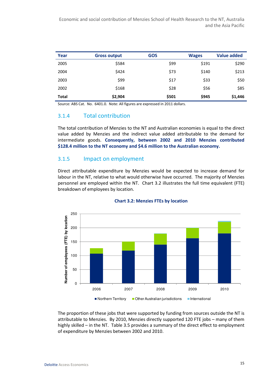Economic and social contribution of Menzies School of Health Research to the NT, Australia and the Asia Pacific

| Year         | <b>Gross output</b> | <b>GOS</b> | <b>Wages</b> | <b>Value added</b> |
|--------------|---------------------|------------|--------------|--------------------|
| 2005         | \$584               | \$99       | \$191        | \$290              |
| 2004         | \$424               | \$73       | \$140        | \$213              |
| 2003         | \$99                | \$17       | \$33         | \$50               |
| 2002         | \$168               | \$28       | \$56         | \$85               |
| <b>Total</b> | \$2,904             | \$501      | \$945        | \$1,446            |

Source: ABS Cat. No. 6401.0. Note: All figures are expressed in 2011 dollars.

## 3.1.4 Total contribution

The total contribution of Menzies to the NT and Australian economies is equal to the direct value added by Menzies and the indirect value added attributable to the demand for intermediate goods. Consequently, between 2002 and 2010 Menzies contributed \$128.4 million to the NT economy and \$4.6 million to the Australian economy.

#### 3.1.5 Impact on employment

Direct attributable expenditure by Menzies would be expected to increase demand for labour in the NT, relative to what would otherwise have occurred. The majority of Menzies personnel are employed within the NT. Chart 3.2 illustrates the full time equivalent (FTE) breakdown of employees by location.



#### Chart 3.2: Menzies FTEs by location

The proportion of these jobs that were supported by funding from sources outside the NT is attributable to Menzies. By 2010, Menzies directly supported 120 FTE jobs – many of them highly skilled – in the NT. Table 3.5 provides a summary of the direct effect to employment of expenditure by Menzies between 2002 and 2010.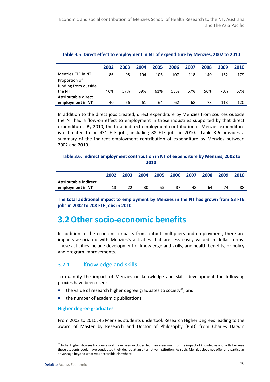|                      | 2002 | 2003 | 2004 | 2005 | 2006 | 2007 | 2008 | 2009 | 2010 |
|----------------------|------|------|------|------|------|------|------|------|------|
| Menzies FTE in NT    | 86   | 98   | 104  | 105  | 107  | 118  | 140  | 162  | 179  |
| Proportion of        |      |      |      |      |      |      |      |      |      |
| funding from outside |      |      |      |      |      |      |      |      |      |
| the NT               | 46%  | 57%  | 59%  | 61%  | 58%  | 57%  | 56%  | 70%  | 67%  |
| Attributable direct  |      |      |      |      |      |      |      |      |      |
| employment in NT     | 40   | 56   | 61   | 64   | 62   | 68   | 78   | 113  | 120  |

### Table 3.5: Direct effect to employment in NT of expenditure by Menzies, 2002 to 2010

In addition to the direct jobs created, direct expenditure by Menzies from sources outside the NT had a flow-on effect to employment in those industries supported by that direct expenditure. By 2010, the total indirect employment contribution of Menzies expenditure is estimated to be 431 FTE jobs, including 88 FTE jobs in 2010. Table 3.6 provides a summary of the indirect employment contribution of expenditure by Menzies between 2002 and 2010.

### Table 3.6: Indirect employment contribution in NT of expenditure by Menzies, 2002 to 2010

|                       | 2002 | 2003 | 2004 | 2005 | 2006 | 2007 | 2008 | 2009 | 2010 |
|-----------------------|------|------|------|------|------|------|------|------|------|
| Attributable indirect |      |      |      |      |      |      |      |      |      |
| employment in NT      |      |      | 30   | 55   | 37   | 48   | 64   |      | 88   |

The total additional impact to employment by Menzies in the NT has grown from 53 FTE jobs in 2002 to 208 FTE jobs in 2010.

# 3.2Other socio-economic benefits

In addition to the economic impacts from output multipliers and employment, there are impacts associated with Menzies's activities that are less easily valued in dollar terms. These activities include development of knowledge and skills, and health benefits, or policy and program improvements.

# 3.2.1 Knowledge and skills

To quantify the impact of Menzies on knowledge and skills development the following proxies have been used:

- the value of research higher degree graduates to society<sup>41</sup>; and
- the number of academic publications.

### Higher degree graduates

From 2002 to 2010, 45 Menzies students undertook Research Higher Degrees leading to the award of Master by Research and Doctor of Philosophy (PhD) from Charles Darwin

<sup>&</sup>lt;sup>41</sup> Note: Higher degrees by coursework have been excluded from an assessment of the impact of knowledge and skills because these students could have conducted their degree at an alternative institution. As such, Menzies does not offer any particular advantage beyond what was accessible elsewhere.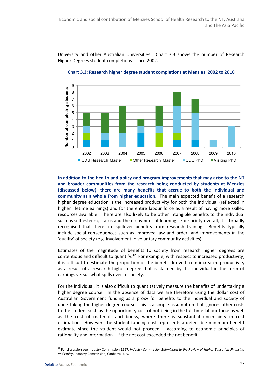University and other Australian Universities. Chart 3.3 shows the number of Research Higher Degrees student completions since 2002.



Chart 3.3: Research higher degree student completions at Menzies, 2002 to 2010

In addition to the health and policy and program improvements that may arise to the NT and broader communities from the research being conducted by students at Menzies (discussed below), there are many benefits that accrue to both the individual and community as a whole from higher education. The main expected benefit of a research higher degree education is the increased productivity for both the individual (reflected in higher lifetime earnings) and for the entire labour force as a result of having more skilled resources available. There are also likely to be other intangible benefits to the individual such as self esteem, status and the enjoyment of learning. For society overall, it is broadly recognised that there are spillover benefits from research training. Benefits typically include social consequences such as improved law and order, and improvements in the 'quality' of society (e.g. involvement in voluntary community activities).

Estimates of the magnitude of benefits to society from research higher degrees are contentious and difficult to quantify.<sup>42</sup> For example, with respect to increased productivity, it is difficult to estimate the proportion of the benefit derived from increased productivity as a result of a research higher degree that is claimed by the individual in the form of earnings versus what spills over to society.

For the individual, it is also difficult to quantitatively measure the benefits of undertaking a higher degree course. In the absence of data we are therefore using the dollar cost of Australian Government funding as a proxy for benefits to the individual and society of undertaking the higher degree course. This is a simple assumption that ignores other costs to the student such as the opportunity cost of not being in the full-time labour force as well as the cost of materials and books, where there is substantial uncertainty in cost estimation. However, the student funding cost represents a defensible minimum benefit estimate since the student would not proceed – according to economic principles of rationality and information – if the net cost exceeded the net benefit.

l

<sup>&</sup>lt;sup>42</sup> For discussion see Industry Commission 1997, Industry Commission Submission to the Review of Higher Education Financing and Policy, Industry Commission, Canberra, July.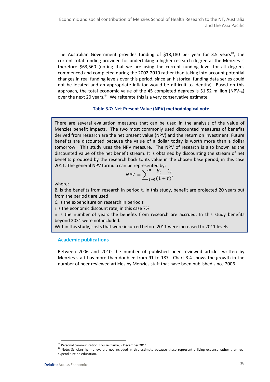The Australian Government provides funding of  $$18,180$  per year for 3.5 years<sup>43</sup>, the current total funding provided for undertaking a higher research degree at the Menzies is therefore \$63,560 (noting that we are using the current funding level for all degrees commenced and completed during the 2002-2010 rather than taking into account potential changes in real funding levels over this period, since an historical funding data series could not be located and an appropriate inflator would be difficult to identify). Based on this approach, the total economic value of the 45 completed degrees is \$1.52 million (NPV<sub>7%</sub>) over the next 20 years.<sup>44</sup> We reiterate this is a very conservative estimate.

### Table 3.7: Net Present Value (NPV) methodological note

There are several evaluation measures that can be used in the analysis of the value of Menzies benefit impacts. The two most commonly used discounted measures of benefits derived from research are the net present value (NPV) and the return on investment. Future benefits are discounted because the value of a dollar today is worth more than a dollar tomorrow. This study uses the NPV measure. The NPV of research is also known as the discounted value of the net benefit stream. It is obtained by discounting the stream of net benefits produced by the research back to its value in the chosen base period, in this case 2011. The general NPV formula can be represented by:

$$
NPV = \sum_{t=0}^{n} \frac{B_t - C_t}{(1+r)^t}
$$

where:

 $B<sub>t</sub>$  is the benefits from research in period t. In this study, benefit are projected 20 years out from the period t are used

 $C<sub>t</sub>$  is the expenditure on research in period t

r is the economic discount rate, in this case 7%

n is the number of years the benefits from research are accrued. In this study benefits beyond 2031 were not included.

Within this study, costs that were incurred before 2011 were increased to 2011 levels.

### Academic publications

Between 2006 and 2010 the number of published peer reviewed articles written by Menzies staff has more than doubled from 91 to 187. Chart 3.4 shows the growth in the number of peer reviewed articles by Menzies staff that have been published since 2006.

<sup>43</sup> Personal communication: Louise Clarke, 9 December 2011.

<sup>&</sup>lt;sup>44</sup> Note: Scholarship moneys are not included in this estimate because these represent a living expense rather than real expenditure on education.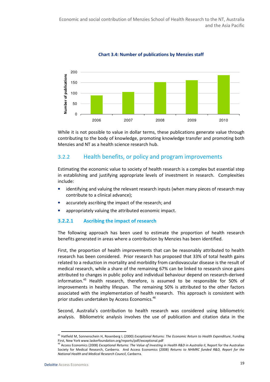

Chart 3.4: Number of publications by Menzies staff

While it is not possible to value in dollar terms, these publications generate value through contributing to the body of knowledge, promoting knowledge transfer and promoting both Menzies and NT as a health science research hub.

# 3.2.2 Health benefits, or policy and program improvements

Estimating the economic value to society of health research is a complex but essential step in establishing and justifying appropriate levels of investment in research. Complexities include:

- identifying and valuing the relevant research inputs (when many pieces of research may contribute to a clinical advance);
- accurately ascribing the impact of the research; and
- appropriately valuing the attributed economic impact.

## 3.2.2.1 Ascribing the impact of research

The following approach has been used to estimate the proportion of health research benefits generated in areas where a contribution by Menzies has been identified.

First, the proportion of health improvements that can be reasonably attributed to health research has been considered. Prior research has proposed that 33% of total health gains related to a reduction in mortality and morbidity from cardiovascular disease is the result of medical research, while a share of the remaining 67% can be linked to research since gains attributed to changes in public policy and individual behaviour depend on research-derived information.<sup>45</sup> Health research, therefore, is assumed to be responsible for 50% of improvements in healthy lifespan. The remaining 50% is attributed to the other factors associated with the implementation of health research. This approach is consistent with prior studies undertaken by Access Economics.<sup>46</sup>

Second, Australia's contribution to health research was considered using bibliometric analysis. Bibliometric analysis involves the use of publication and citation data in the

<sup>&</sup>lt;sup>45</sup> Hatfield M, Sonnenschein H, Rosenberg L (2000) Exceptional Returns: The Economic Return to Health Expenditure, Funding First, New York www.laskerfoundation.org/reports/pdf/exceptional.pdf

<sup>&</sup>lt;sup>46</sup> Access Economics (2008) Exceptional Returns: The Value of Investing in Health R&D in Australia II, Report for the Australian Society for Medical Research, Canberra. And Access Economics (2008) Returns to NHMRC funded R&D, Report for the National Health and Medical Research Council, Canberra.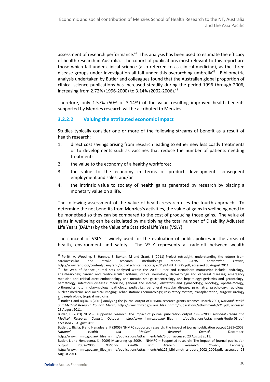assessment of research performance.<sup>47</sup> This analysis has been used to estimate the efficacy of health research in Australia. The cohort of publications most relevant to this report are those which fall under clinical science (also referred to as clinical medicine), as the three disease groups under investigation all fall under this overarching umbrella<sup>48</sup>. Bibliometric analysis undertaken by Butler and colleagues found that the Australian global proportion of clinical science publications has increased steadily during the period 1996 through 2006, increasing from 2.72% (1996-2000) to 3.14% (2002-2006).<sup>49</sup>

Therefore, only 1.57% (50% of 3.14%) of the value resulting improved health benefits supported by Menzies research will be attributed to Menzies.

### 3.2.2.2 Valuing the attributed economic impact

Studies typically consider one or more of the following streams of benefit as a result of health research:

- 1. direct cost savings arising from research leading to either new less costly treatments or to developments such as vaccines that reduce the number of patients needing treatment;
- 2. the value to the economy of a healthy workforce;
- 3. the value to the economy in terms of product development, consequent employment and sales; and/or
- 4. the intrinsic value to society of health gains generated by research by placing a monetary value on a life.

The following assessment of the value of health research uses the fourth approach. To determine the net benefits from Menzies's activities, the value of gains in wellbeing need to be monetised so they can be compared to the cost of producing those gains. The value of gains in wellbeing can be calculated by multiplying the total number of Disability Adjusted Life Years (DALYs) by the Value of a Statistical Life Year (VSLY).

The concept of VSLY is widely used for the evaluation of public policies in the areas of health, environment and safety. The VSLY represents a trade-off between wealth

l

 $47$  Pollitt, A, Wooding, S, Hanney, S, Buxton, M and Grant, J (2011) Project retrosight: understanding the returns from cardiovascular and stroke research, methodology report, RAND Corporation Europe, http://www.rand.org/content/dam/rand/pubs/technical\_reports/2011/RAND\_TR925.pdf, accessed 30 August 2011.

<sup>&</sup>lt;sup>48</sup> The Web of Science journal sets analysed within the 2009 Butler and Henadeera manuscript include: andrology; anesthesiology; cardiac and cardiovascular systems; clinical neurology; dermatology and venereal diseases; emergency medicine and critical care; endocrinology and metabolism; gastroenterology and hepatology; geriatrics and gerontology; hematology; infectious diseases; medicine, general and internal; obstetrics and gynaecology; oncology; ophthalmology; orthopedics; otorhinolaryngology; pathology; pediatrics; peripheral vascular disease; psychiatry; psychology; radiology, nuclear medicine and medical imaging; rehabilitation; rheumatology; respiratory system; transplantation; surgery; urology and nephrology; tropical medicine.

<sup>&</sup>lt;sup>49</sup> Butler L and Biglia, B (2001) Analysing the journal output of NHMRC research grants schemes: March 2001, National Health and Medical Research Council, March, http://www.nhmrc.gov.au/\_files\_nhmrc/publications/attachments/r21.pdf, accessed 23 August 2011.

Butler, L (2003) NHMRC supported research: the impact of journal publication output 1996–2000, National Health and Medical Research Council, October, http://www.nhmrc.gov.au/\_files\_nhmrc/publications/attachments/butler03.pdf, accessed 23 August 2011.

Butler, L, Biglia, B and Henadeera, K (2005) NHMRC supported research: the impact of journal publication output 1999–2003, National Health and Medical Research Council, December, http://www.nhmrc.gov.au/\_files\_nhmrc/publications/attachments/nh75.pdf, accessed 23 August 2011.

Butler, L and Henadeera, K (2009) Measuring up 2009. NHMRC – Supported research: The impact of journal publication output 2002–2006, National Health and Medical Research Council, February, http://www.nhmrc.gov.au/\_files\_nhmrc/publications/attachments/nh125\_bibliometricsreport\_2002\_2006.pdf, accessed 23 August 2011.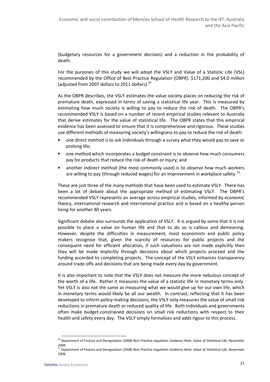(budgetary resources for a government decision) and a reduction in the probability of death.

For the purposes of this study we will adopt the VSLY and Value of a Statistic Life (VSL) recommended by the Office of Best Practice Regulation (OBPR): \$171,200 and \$4.0 million (adjusted from 2007 dollars to 2011 dollars). $^{50}$ 

As the OBPR describes, the VSLY estimates the value society places on reducing the risk of premature death, expressed in terms of saving a statistical life year. This is measured by estimating how much society is willing to pay to reduce the risk of death. The OBPR's recommended VSLY is based on a number of recent empirical studies relevant to Australia that derive estimates for the value of statistical life. The OBPR states that this empirical evidence has been assessed to ensure that it is comprehensive and rigorous. These studies use different methods of measuring society's willingness to pay to reduce the risk of death:

- one direct method is to ask individuals through a survey what they would pay to save or prolong life;
- one method which incorporates a budget constraint is to observe how much consumers pay for products that reduce the risk of death or injury; and
- another indirect method (the most commonly used) is to observe how much workers are willing to pay (through reduced wages) for an improvement in workplace safety.  $51$

These are just three of the many methods that have been used to estimate VSLY. There has been a lot of debate about the appropriate method of estimating VSLY. The OBPR's recommended VSLY represents an average across empirical studies, informed by economic theory, international research and international practice and is based on a healthy person living for another 40 years.

Significant debate also surrounds the application of VSLY. It is argued by some that it is not possible to place a value on human life and that to do so is callous and demeaning. However, despite the difficulties in measurement, most economists and public policy makers recognise that, given the scarcity of resources for public projects and the consequent need for efficient allocation, if such valuations are not made explicitly then they will be made implicitly through decisions about which projects proceed and the funding accorded to completing projects. The concept of the VSLY enhances transparency around trade-offs and decisions that are being made every day by government.

It is also important to note that the VSLY does not measure the more nebulous concept of the worth of a life. Rather it measures the value of a statistic life in monetary terms only. Yet VSLY is also not the same as measuring what we would give up for our own life, which in monetary terms would likely be all our wealth. In contrast, reflecting that it has been developed to inform policy-making decisions, the VSLY only measures the value of small risk reductions in premature death or reduced quality of life. Both individuals and governments often make budget-constrained decisions on small risk reductions with respect to their health and safety every day. The VSLY simply formalises and adds rigour to this process.

<sup>&</sup>lt;sup>50</sup> Department of Finance and Deregulation (2008) Best Practice regulation Guidance Note: Value of Statistical Life, November 2008.

<sup>&</sup>lt;sup>51</sup> Department of Finance and Deregulation (2008) Best Practice regulation Guidance Note: Value of Statistical Life, November 2008.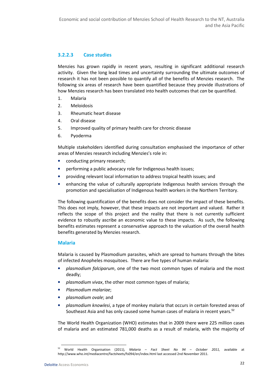## 3.2.2.3 Case studies

Menzies has grown rapidly in recent years, resulting in significant additional research activity. Given the long lead times and uncertainty surrounding the ultimate outcomes of research it has not been possible to quantify all of the benefits of Menzies research. The following six areas of research have been quantified because they provide illustrations of how Menzies research has been translated into health outcomes that *can* be quantified.

- 1. Malaria
- 2. Meloidosis
- 3. Rheumatic heart disease
- 4. Oral disease
- 5. Improved quality of primary health care for chronic disease
- 6. Pyoderma

Multiple stakeholders identified during consultation emphasised the importance of other areas of Menzies research including Menzies's role in:

- conducting primary research;
- performing a public advocacy role for Indigenous health issues;
- providing relevant local information to address tropical health issues; and
- enhancing the value of culturally appropriate Indigenous health services through the promotion and specialisation of Indigenous health workers in the Northern Territory.

The following quantification of the benefits does not consider the impact of these benefits. This does not imply, however, that these impacts are not important and valued. Rather it reflects the scope of this project and the reality that there is not currently sufficient evidence to robustly ascribe an economic value to these impacts. As such, the following benefits estimates represent a conservative approach to the valuation of the overall health benefits generated by Menzies research.

#### Malaria

Malaria is caused by Plasmodium parasites, which are spread to humans through the bites of infected Anopheles mosquitoes. There are five types of human malaria:

- plasmodium falciparum, one of the two most common types of malaria and the most deadly;
- plasmodium vivax, the other most common types of malaria;
- Plasmodium malariae;
- plasmodium ovale; and
- plasmodium knowlesi, a type of monkey malaria that occurs in certain forested areas of Southeast Asia and has only caused some human cases of malaria in recent years.<sup>52</sup>

The World Health Organization (WHO) estimates that in 2009 there were 225 million cases of malaria and an estimated 781,000 deaths as a result of malaria, with the majority of

l

World Health Organisation (2011), Malaria – Fact Sheet No 94 – October 2011, available at http://www.who.int/mediacentre/factsheets/fs094/en/index.html last accessed 2nd November 2011.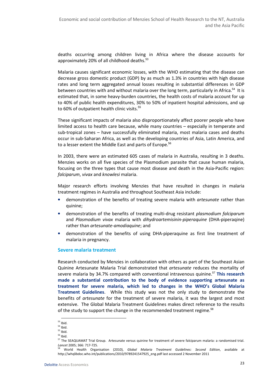deaths occurring among children living in Africa where the disease accounts for approximately 20% of all childhood deaths.<sup>53</sup>

Malaria causes significant economic losses, with the WHO estimating that the disease can decrease gross domestic product (GDP) by as much as 1.3% in countries with high disease rates and long term aggregated annual losses resulting in substantial differences in GDP between countries with and without malaria over the long term, particularly in Africa.<sup>54</sup> It is estimated that, in some heavy-burden countries, the health costs of malaria account for up to 40% of public health expenditures, 30% to 50% of inpatient hospital admissions, and up to 60% of outpatient health clinic visits. $^{55}$ 

These significant impacts of malaria also disproportionately affect poorer people who have limited access to health care because, while many countries – especially in temperate and sub-tropical zones – have successfully eliminated malaria, most malaria cases and deaths occur in sub-Saharan Africa, as well as the developing countries of Asia, Latin America, and to a lesser extent the Middle East and parts of Europe.<sup>56</sup>

In 2003, there were an estimated 605 cases of malaria in Australia, resulting in 3 deaths. Menzies works on all five species of the Plasmodium parasite that cause human malaria, focusing on the three types that cause most disease and death in the Asia-Pacific region: falciparum, vivax and knowlesi malaria.

Major research efforts involving Menzies that have resulted in changes in malaria treatment regimes in Australia and throughout Southeast Asia include:

- demonstration of the benefits of treating severe malaria with artesunate rather than quinine;
- demonstration of the benefits of treating multi-drug resistant *plasmodium falciparum* and Plasmodium vivax malaria with dihydroartemisinin-piperaquine (DHA-piperaqine) rather than artesunate-amodiaquine; and
- demonstration of the benefits of using DHA-piperaquine as first line treatment of malaria in pregnancy.

### Severe malaria treatment

Research conducted by Menzies in collaboration with others as part of the Southeast Asian Quinine Artesunate Malaria Trial demonstrated that artesunate reduces the mortality of severe malaria by 34.7% compared with conventional intravenous quinine.<sup>57</sup> This research made a substantial contribution to the body of evidence supporting artesunate as treatment for severe malaria, which led to changes in the WHO's Global Malaria Treatment Guidelines. While this study was not the only study to demonstrate the benefits of artesunate for the treatment of severe malaria, it was the largest and most extensive. The Global Malaria Treatment Guidelines makes direct reference to the results of the study to support the change in the recommended treatment regime.<sup>58</sup>

 $\overline{a}$  $53$  Ibid.

 $54$  Ibid.

 $55$  Ibid.

<sup>56</sup> Ibid.

<sup>&</sup>lt;sup>57</sup> The SEAQUAMAT Trial Group. Artesunate versus quinine for treatment of severe falciparum malaria: a randomised trial. Lancet 2005; 366: 717-725.

World Health Organisation (2010), Global Malaria Treatment Guidelines: Second Edition, available at http://whqlibdoc.who.int/publications/2010/9789241547925\_eng.pdf last accessed 2 November 2011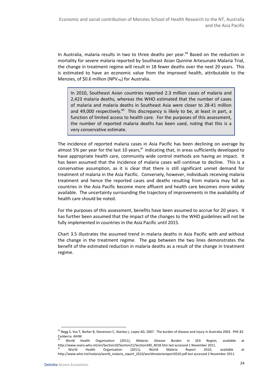In Australia, malaria results in two to three deaths per year.<sup>59</sup> Based on the reduction in mortality for severe malaria reported by Southeast Asian Quinine Artesunate Malaria Trial, the change in treatment regime will result in 18 fewer deaths over the next 20 years. This is estimated to have an economic value from the improved health, attributable to the Menzies, of \$0.6 million (NPV $_{7\%}$ ) for Australia.

In 2010, Southeast Asian countries reported 2.3 million cases of malaria and 2,423 malaria deaths, whereas the WHO estimated that the number of cases of malaria and malaria deaths in Southeast Asia were closer to 28-41 million and 49,000 respectively.<sup>60</sup> This discrepancy is likely to be, at least in part, a function of limited access to health care. For the purposes of this assessment, the number of reported malaria deaths has been used, noting that this is a very conservative estimate.

The incidence of reported malaria cases in Asia Pacific has been declining on average by almost 5% per year for the last 10 years, $61$  indicating that, in areas sufficiently developed to have appropriate health care, community wide control methods are having an impact. It has been assumed that the incidence of malaria cases will continue to decline. This is a conservative assumption, as it is clear that there is still significant unmet demand for treatment of malaria in the Asia Pacific. Conversely, however, individuals receiving malaria treatment and hence the reported cases and deaths resulting from malaria may fall as countries in the Asia Pacific become more affluent and health care becomes more widely available. The uncertainty surrounding the trajectory of improvements in the availability of health care should be noted.

For the purposes of this assessment, benefits have been assumed to accrue for 20 years. It has further been assumed that the impact of the changes to the WHO guidelines will not be fully implemented in countries in the Asia Pacific until 2015.

Chart 3.5 illustrates the assumed trend in malaria deaths in Asia Pacific with and without the change in the treatment regime. The gap between the two lines demonstrates the benefit of the estimated reduction in malaria deaths as a result of the change in treatment regime.

<sup>&</sup>lt;sup>59</sup> Begg S, Vos T, Barker B, Stevenson C, Stanley L, Lopez AD, 2007. The burden of disease and injury in Australia 2003. PHE 82. Canberra: AIHW.

World Health Organisation (2011), Malaria: Disease Burden in SEA Region, available at http://www.searo.who.int/en/Section10/Section21/Section340\_4018.htm last accessed 1 November 2011.<br><sup>61</sup> Morld Health Organisation (2011). World Malaria Report 2010.

<sup>&</sup>lt;sup>61</sup> World Health Organisation (2011), World Malaria Report 2010, available at http://www.who.int/malaria/world\_malaria\_report\_2010/worldmalariareport2010.pdf last accessed 2 November 2011.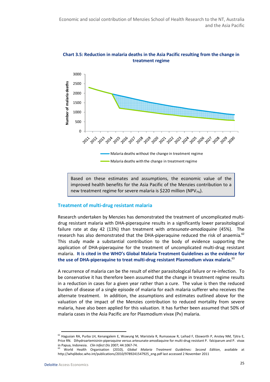



Based on these estimates and assumptions, the economic value of the improved health benefits for the Asia Pacific of the Menzies contribution to a new treatment regime for severe malaria is \$220 million (NPV $_{7\%}$ ).

#### Treatment of multi-drug resistant malaria

Research undertaken by Menzies has demonstrated the treatment of uncomplicated multidrug resistant malaria with DHA-piperaquine results in a significantly lower parasitological failure rate at day 42 (13%) than treatment with artesunate-amodiaquine (45%). The research has also demonstrated that the DHA-piperaquine reduced the risk of anaemia. $62$ This study made a substantial contribution to the body of evidence supporting the application of DHA-piperaquine for the treatment of uncomplicated multi-drug resistant malaria. It is cited in the WHO's Global Malaria Treatment Guidelines as the evidence for the use of DHA-piperaquine to treat multi-drug resistant Plasmodium vivax malaria.<sup>63</sup>

A recurrence of malaria can be the result of either parasitological failure or re-infection. To be conservative it has therefore been assumed that the change in treatment regime results in a reduction in cases for a given year rather than a cure. The value is then the reduced burden of disease of a single episode of malaria for each malaria sufferer who receives the alternate treatment. In addition, the assumptions and estimates outlined above for the valuation of the impact of the Menzies contribution to reduced mortality from severe malaria, have also been applied for this valuation. It has further been assumed that 50% of malaria cases in the Asia Pacific are for Plasmodium vivax (Pv) malaria.

<sup>62</sup> Hagusian RA, Purba LH, Kenangalem E, Wuwung M, Maristela R, Rumaseuw R, Laihad F, Ebsworth P, Anstey NM, Tjitra E, Price RN. Dihydroartemisinin-piperaquine versus artesunate-amodiaquine for multi-drug resistant P. falciparum and P. vivax in Papua, Indonesia. Clin Infect Dis 2007; 44:1067-74.

World Health Organisation (2010), Global Malaria Treatment Guidelines: Second Edition, available at http://whqlibdoc.who.int/publications/2010/9789241547925\_eng.pdf last accessed 2 November 2011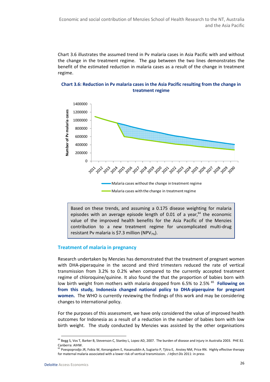Chart 3.6 illustrates the assumed trend in Pv malaria cases in Asia Pacific with and without the change in the treatment regime. The gap between the two lines demonstrates the benefit of the estimated reduction in malaria cases as a result of the change in treatment regime.





Based on these trends, and assuming a 0.175 disease weighting for malaria episodes with an average episode length of 0.01 of a year, $64$  the economic value of the improved health benefits for the Asia Pacific of the Menzies contribution to a new treatment regime for uncomplicated multi-drug resistant Pv malaria is \$7.3 million (NPV $_{7\%}$ ).

#### Treatment of malaria in pregnancy

Research undertaken by Menzies has demonstrated that the treatment of pregnant women with DHA-piperaquine in the second and third trimesters reduced the rate of vertical transmission from 3.2% to 0.2% when compared to the currently accepted treatment regime of chloroquine/quinine. It also found the that the proportion of babies born with low birth weight from mothers with malaria dropped from 6.5% to 2.5% <sup>65</sup> Following on from this study, Indonesia changed national policy to DHA-piperquine for pregnant women. The WHO is currently reviewing the findings of this work and may be considering changes to international policy.

For the purposes of this assessment, we have only considered the value of improved health outcomes for Indonesia as a result of a reduction in the number of babies born with low birth weight. The study conducted by Menzies was assisted by the other organisations

<sup>&</sup>lt;sup>64</sup> Begg S, Vos T, Barker B, Stevenson C, Stanley L, Lopez AD, 2007. The burden of disease and injury in Australia 2003. PHE 82. Canberra: AIHW.

<sup>&</sup>lt;sup>5</sup> Poespoprodjo JR, Fobia W, Kenangalem E, Hasanuddin A, Sugiarto P, Tjitra E, Anstey NM, Price RN. Highly effective therapy for maternal malaria associated with a lower risk of vertical transmission. *J Infect Dis* 2011: in press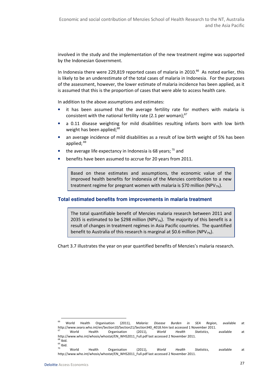involved in the study and the implementation of the new treatment regime was supported by the Indonesian Government.

In Indonesia there were 229,819 reported cases of malaria in 2010. $^{66}$  As noted earlier, this is likely to be an underestimate of the total cases of malaria in Indonesia. For the purposes of the assessment, however, the lower estimate of malaria incidence has been applied, as it is assumed that this is the proportion of cases that were able to access health care.

In addition to the above assumptions and estimates:

- it has been assumed that the average fertility rate for mothers with malaria is consistent with the national fertility rate (2.1 per woman); $67$
- a 0.11 disease weighting for mild disabilities resulting infants born with low birth weight has been applied;<sup>68</sup>
- an average incidence of mild disabilities as a result of low birth weight of 5% has been applied;  $69$
- the average life expectancy in Indonesia is 68 years;  $70$  and
- benefits have been assumed to accrue for 20 years from 2011.

Based on these estimates and assumptions, the economic value of the improved health benefits for Indonesia of the Menzies contribution to a new treatment regime for pregnant women with malaria is \$70 million (NPV $_{7\%}$ ).

### **Total estimated benefits from improvements in malaria treatment**

The total quantifiable benefit of Menzies malaria research between 2011 and 2035 is estimated to be \$298 million (NPV $_{7\%}$ ). The majority of this benefit is a result of changes in treatment regimes in Asia Pacific countries. The quantified benefit to Australia of this research is marginal at \$0.6 million (NPV $_{7\%}$ ).

Chart 3.7 illustrates the year on year quantified benefits of Menzies's malaria research.

<sup>&</sup>lt;sup>66</sup> World Health Organisation (2011), Malaria: Disease Burden in SEA Region, available at http://www.searo.who.int/en/Section10/Section21/Section340\_4018.htm last accessed 1 November 2011. <sup>67</sup> World Health Organisation (2011), World Health Statistics, available at

http://www.who.int/whosis/whostat/EN\_WHS2011\_Full.pdf last accessed 2 November 2011.  $68$  Ibid.

 $^{69}$ lbid.

<sup>&</sup>lt;sup>70</sup> World Health Organisation (2011), World Health Statistics, available at http://www.who.int/whosis/whostat/EN\_WHS2011\_Full.pdf last accessed 2 November 2011.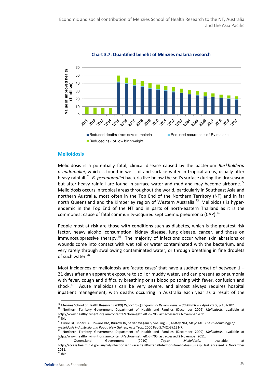

Chart 3.7: Quantified benefit of Menzies malaria research

#### **Melioidosis**

Melioidosis is a potentially fatal, clinical disease caused by the bacterium Burkholderia pseudomallei, which is found in wet soil and surface water in tropical areas, usually after heavy rainfall.<sup>71</sup> B. pseudomallei bacteria live below the soil's surface during the dry season but after heavy rainfall are found in surface water and mud and may become airborne.<sup>72</sup> Melioidosis occurs in tropical areas throughout the world, particularly in Southeast Asia and northern Australia, most often in the Top End of the Northern Territory (NT) and in far north Queensland and the Kimberley region of Western Australia.<sup>73</sup> Melioidosis is hyperendemic in the Top End of the NT and in parts of north-eastern Thailand as it is the commonest cause of fatal community-acquired septicaemic pneumonia (CAP).<sup>74</sup>

People most at risk are those with conditions such as diabetes, which is the greatest risk factor, heavy alcohol consumption, kidney disease, lung disease, cancer, and those on immunosuppressive therapy.<sup>75</sup> The majority of infections occur when skin abrasions or wounds come into contact with wet soil or water contaminated with the bacterium, and very rarely through swallowing contaminated water, or through breathing in fine droplets of such water.<sup>76</sup>

Most incidences of melioidosis are 'acute cases' that have a sudden onset of between 1 – 21 days after an apparent exposure to soil or muddy water, and can present as pneumonia with fever, cough and difficulty breathing or as blood poisoning with fever, confusion and shock.<sup>77</sup> Acute melioidosis can be very severe, and almost always requires hospital inpatient management, with deaths occurring in Australia each year as a result of the

<sup>&</sup>lt;sup>71</sup> Menzies School of Health Research (2009) Report to Quinquennial Review Panel – 30 March – 3 April 2009, p.101-102

<sup>72</sup> Northern Territory Government Department of Health and Families (December 2009) Melioidosis, available at http://www.healthylivingnt.org.au/content/?action=getfile&id=705 last accessed 2 November 2011.  $73$  Ibid.

<sup>&</sup>lt;sup>74</sup> Currie BJ, Fisher DA, Howard DM, Burrow JN, Selvanayagam S, Snelling PL, Anstey NM, Mayo MJ. The epidemiology of melioidosis in Australia and Papua New Guinea, Acta Trop. 2000 Feb 5;74(2-3):121-7.

<sup>&</sup>lt;sup>75</sup> Northern Territory Government Department of Health and Families (December 2009) Melioidosis, available at http://www.healthylivingnt.org.au/content/?action=getfile&id=705 last accessed 2 November 2011.

<sup>&</sup>lt;sup>76</sup> Queensland Government (2010) Topic: Melioidosis, available at http://access.health.qld.gov.au/hid/InfectionsandParasites/BacterialInfections/melioidosis\_is.asp, last accessed 2 November 2011.

 $\overline{77}$  Ibid.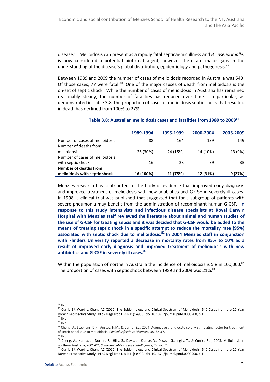disease.<sup>78</sup> Melioidosis can present as a rapidly fatal septicaemic illness and B. *pseudomallei* is now considered a potential biothreat agent, however there are major gaps in the understanding of the disease's global distribution, epidemiology and pathogenesis.<sup>79</sup>

Between 1989 and 2009 the number of cases of melioidosis recorded in Australia was 540. Of those cases, 77 were fatal. $80$  One of the major causes of death from melioidosis is the on-set of septic shock. While the number of cases of melioidosis in Australia has remained reasonably steady, the number of fatalities has reduced over time. In particular, as demonstrated in Table 3.8, the proportion of cases of melioidosis septic shock that resulted in death has declined from 100% to 27%.

|                                                         | 1989-1994 | 1995-1999 | 2000-2004 | 2005-2009 |
|---------------------------------------------------------|-----------|-----------|-----------|-----------|
| Number of cases of melioidosis<br>Number of deaths from | 88        | 164       | 139       | 149       |
| melioidosis<br>Number of cases of melioidosis           | 26 (30%)  | 24 (15%)  | 14 (10%)  | 13 (9%)   |
| with septic shock<br>Number of deaths from              | 16        | 28        | 39        | 33        |
| melioidosis with septic shock                           | 16 (100%) | 21 (75%)  | 12 (31%)  | 9(27%)    |

#### Table 3.8: Australian melioidosis cases and fatalities from 1989 to 2009**<sup>81</sup>**

Menzies research has contributed to the body of evidence that improved early diagnosis and improved treatment of melioidosis with new antibiotics and G-CSF in severely ill cases. In 1998, a clinical trial was published that suggested that for a subgroup of patients with severe pneumonia may benefit from the administration of recombinant human G-CSF. In response to this study intensivists and infectious disease specialists at Royal Darwin Hospital with Menzies staff reviewed the literature about animal and human studies of the use of G-CSF for treating sepsis and it was decided that G-CSF would be added to the means of treating septic shock in a specific attempt to reduce the mortality rate (95%) associated with septic shock due to melioidosis.<sup>82</sup> In 2004 Menzies staff in conjunction with Flinders University reported a decrease in mortality rates from 95% to 10% as a result of improved early diagnosis and improved treatment of melioidosis with new antibiotics and G-CSF in severely ill cases.<sup>83</sup>

Within the population of northern Australia the incidence of melioidosis is 5.8 in 100,000.<sup>84</sup> The proportion of cases with septic shock between 1989 and 2009 was 21%.<sup>85</sup>

 $\overline{a}$  $78$  Ibid.

<sup>&</sup>lt;sup>79</sup> Currie BJ, Ward L, Cheng AC (2010) The Epidemiology and Clinical Spectrum of Melioidosis: 540 Cases from the 20 Year Darwin Prospective Study. PLoS Negl Trop Dis 4(11): e900. doi:10.1371/journal.pntd.0000900, p.1  $b<sup>80</sup>$  Ibid.

 $81$  Ibid.

<sup>82</sup> Cheng, A., Stephens, D.P., Anstey, N.M., & Currie, B.J., 2004. Adjunctive granulocyte colony-stimulating factor for treatment of septic shock due to melioidosis. Clinical Infectious Diseases, 38, 32-37.

 $83$  Ibid.

<sup>84</sup> Cheng, A., Hanna, J., Norton, R., Hills, S., Davis, J., Krause, V., Dowse, G., Inglis, T., & Currie, B.J., 2003. Melioidosis in northern Australia, 2001-02, Communicable Disease Intelligence, 27, no. 2.

<sup>&</sup>lt;sup>85</sup> Currie BJ, Ward L, Cheng AC (2010) The Epidemiology and Clinical Spectrum of Melioidosis: 540 Cases from the 20 Year Darwin Prospective Study. PLoS Negl Trop Dis 4(11): e900. doi:10.1371/journal.pntd.0000900, p.1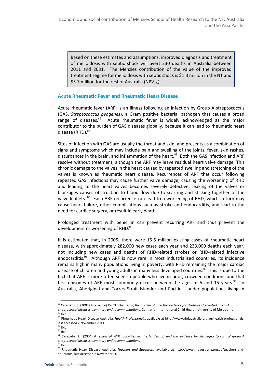Based on these estimates and assumptions, improved diagnosis and treatment of melioidosis with septic shock will avert 230 deaths in Australia between 2011 and 2031. The Menzies contribution of the value of the improved treatment regime for melioidosis with septic shock is \$1.3 million in the NT and \$5.7 million for the rest of Australia (NPV $_{7\%}$ ).

### Acute Rheumatic Fever and Rheumatic Heart Disease

Acute rheumatic fever (ARF) is an illness following an infection by Group A streptococcus (GAS, Streptococcus pyogenes), a Gram positive bacterial pathogen that causes a broad range of diseases.<sup>86</sup> Acute rheumatic fever is widely acknowledged as the major contributor to the burden of GAS diseases globally, because it can lead to rheumatic heart disease (RHD).<sup>87</sup>

Sites of infection with GAS are usually the throat and skin, and presents as a combination of signs and symptoms which may include pain and swelling of the joints, fever, skin rashes, disturbances in the brain, and inflammation of the heart.<sup>88</sup> Both the GAS infection and ARF resolve without treatment, although the ARF may leave residual heart valve damage. This chronic damage to the valves in the heart caused by repeated swelling and stretching of the valves is known as rheumatic heart disease. Recurrences of ARF that occur following repeated GAS infections may cause further valve damage, causing the worsening of RHD and leading to the heart valves becomes severely defective, leaking of the valves or blockages causes obstruction to blood flow due to scarring and sticking together of the valve leaflets.<sup>89</sup> Each ARF recurrence can lead to a worsening of RHD, which in turn may cause heart failure, other complications such as stroke and endocarditis, and lead to the need for cardiac surgery, or result in early death.

Prolonged treatment with penicillin can prevent recurring ARF and thus prevent the development or worsening of RHD.<sup>90</sup>

It is estimated that, in 2005, there were 15.6 million existing cases of rheumatic heart disease, with approximately 282,000 new cases each year and 233,000 deaths each year, not including new cases and deaths of RHD-related strokes or RHD-related infective endocarditis. $91$  Although ARF is now rare in most industrialised countries, its incidence remains high in many populations living in poverty, with RHD remaining the major cardiac disease of children and young adults in many less developed countries. $92$  This is due to the fact that ARF is more often seen in people who live in poor, crowded conditions and that first episodes of ARF most commonly occur between the ages of 5 and 15 years. $93$  In Australia, Aboriginal and Torres Strait Islander and Pacific Islander populations living in

 $86$  Carapetis, J. (2004) A review of WHO activities in, the burden of, and the evidence for strategies to control group A streptococcal diseases: summary and recommendations, Centre for International Child Health, University of Melbourne  $87$  Ibid.

<sup>88</sup> Rheumatic Heart Disease Australia, Health Professionals, available at http://www.rhdaustralia.org.au/health-professionals, last accessed 2 November 2011

 $^{89}$  Ihid.

 $90$  Ibid.

 $91$  Carapetis, J. (2004) A review of WHO activities in, the burden of, and the evidence for strategies to control group A streptococcal diseases: summary and recommendations

 $92$  Ibid.

<sup>93</sup> Rheumatic Heart Disease Australia, Teachers and Educators, available at http://www.rhdaustralia.org.au/teachers-andeducators, last accessed 2 November 2011.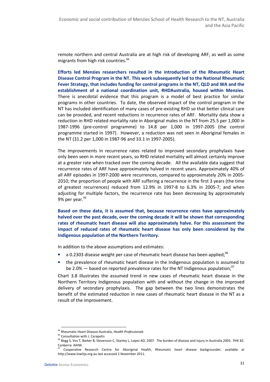remote northern and central Australia are at high risk of developing ARF, as well as some migrants from high risk countries.<sup>94</sup>

Efforts led Menzies researchers resulted in the introduction of the Rheumatic Heart Disease Control Program in the NT. This work subsequently led to the National Rheumatic Fever Strategy, that includes funding for control programs in the NT, QLD and WA and the establishment of a national coordination unit, RHDAustralia, housed within Menzies. There is anecdotal evidence that this program is a model of best practice for similar programs in other countries. To date, the observed impact of the control program in the NT has included identification of many cases of pre-existing RHD so that better clinical care can be provided, and recent reductions in recurrence rates of ARF. Mortality data show a reduction in RHD related mortality rate in Aboriginal males in the NT from 25.5 per 1,000 in 1987-1996 (pre-control programme) to 14.8 per 1,000 in 1997-2005 (the control programme started in 1997). However, a reduction was not seen in Aboriginal females in the NT (31.2 per 1,000 in 1987-96 and 33.1 in 1997-2005).

The improvements in recurrence rates related to improved secondary prophylaxis have only been seen in more recent years, so RHD related mortality will almost certainly improve at a greater rate when tracked over the coming decade. All the available data suggest that recurrence rates of ARF have approximately halved in recent years. Approximately 40% of all ARF episodes in 1997-2000 were recurrences, compared to approximately 20% in 2005- 2010; the proportion of people with ARF suffering a recurrence in the first 3 years (the time of greatest recurrences) reduced from 12.9% in 1997-8 to 6.3% in 2005-7; and when adjusting for multiple factors, the recurrence rate has been decreasing by approximately 9% per year.<sup>95</sup>

Based on these data, it is assumed that, because recurrence rates have approximately halved over the past decade, over the coming decade it will be shown that corresponding rates of rheumatic heart disease will also approximately halve. For this assessment the impact of reduced rates of rheumatic heart disease has only been considered by the Indigenous population of the Northern Territory.

In addition to the above assumptions and estimates:

- a 0.2303 disease weight per case of rheumatic heart disease has been applied;<sup>96</sup>
- the prevalence of rheumatic heart disease in the Indigenous population is assumed to be 2.0% — based on reported prevalence rates for the NT Indigenous population;<sup>97</sup>

Chart 3.8 illustrates the assumed trend in new cases of rheumatic heart disease in the Northern Territory Indigenous population with and without the change in the improved delivery of secondary prophylaxis. The gap between the two lines demonstrates the benefit of the estimated reduction in new cases of rheumatic heart disease in the NT as a result of the improvement.

<sup>94</sup> Rheumatic Heart Disease Australia, Health Professionals

<sup>95</sup> Consultation with J. Carapetis

<sup>&</sup>lt;sup>96</sup> Begg S, Vos T, Barker B, Stevenson C, Stanley L, Lopez AD, 2007. The burden of disease and injury in Australia 2003. PHE 82. Canberra: AIHW.

Cooperative Research Centre for Aboriginal Health, Rheumatic heart disease backgrounder, available at http://www.lowitja.org.au last accessed 2 November 2011.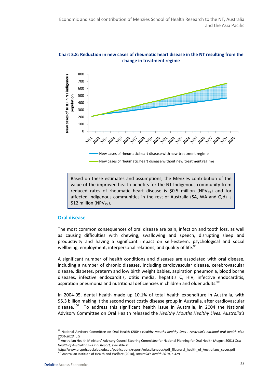

Chart 3.8: Reduction in new cases of rheumatic heart disease in the NT resulting from the change in treatment regime

Based on these estimates and assumptions, the Menzies contribution of the value of the improved health benefits for the NT Indigenous community from reduced rates of rheumatic heart disease is \$0.5 million (NPV $_{7\%}$ ) and for affected Indigenous communities in the rest of Australia (SA, WA and Qld) is \$12 million (NPV $_{7\%}$ ).

#### Oral disease

The most common consequences of oral disease are pain, infection and tooth loss, as well as causing difficulties with chewing, swallowing and speech, disrupting sleep and productivity and having a significant impact on self-esteem, psychological and social wellbeing, employment, interpersonal relations, and quality of life.<sup>98</sup>

A significant number of health conditions and diseases are associated with oral disease, including a number of chronic diseases, including cardiovascular disease, cerebrovascular disease, diabetes, preterm and low birth weight babies, aspiration pneumonia, blood borne diseases, infective endocarditis, otitis media, hepatitis C, HIV, infective endocarditis, aspiration pneumonia and nutritional deficiencies in children and older adults. $99$ 

In 2004-05, dental health made up 10.1% of total health expenditure in Australia, with \$5.3 billion making it the second most costly disease group in Australia, after cardiovascular disease.<sup>100</sup> To address this significant health issue in Australia, in 2004 the National Advisory Committee on Oral Health released the Healthy Mouths Healthy Lives: Australia's

<sup>98</sup> National Advisory Committee on Oral Health (2004) Healthy mouths healthy lives : Australia's national oral health plan 2004-2013, p.5

<sup>99</sup> Australian Health Ministers' Advisory Council Steering Committee for National Planning for Oral Health (August 2001) Oral Health of Australians – Final Report, available at

http://www.arcpoh.adelaide.edu.au/publications/report/miscellaneous/pdf\_files/oral\_health\_of\_Australians\_cover.pdf  $100$  Australian Institute of Health and Welfare (2010), Australia's health 2010, p.429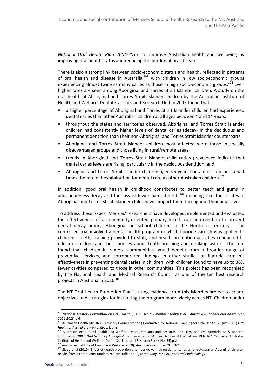National Oral Health Plan 2004-2013, to improve Australian health and wellbeing by improving oral health status and reducing the burden of oral disease.

There is also a strong link between socio-economic status and health, reflected in patterns of oral health and disease in Australia, $101$  with children in low socioeconomic groups experiencing almost twice as many caries as those in high socio-economic groups.<sup>102</sup> Even higher rates are seen among Aboriginal and Torres Strait Islander children. A study on the oral health of Aboriginal and Torres Strait Islander children by the Australian Institute of Health and Welfare, Dental Statistics and Research Unit in 2007 found that:

- a higher percentage of Aboriginal and Torres Strait Islander children had experienced dental caries than other Australian children at all ages between 4 and 14 years;
- throughout the states and territories observed, Aboriginal and Torres Strait Islander children had consistently higher levels of dental caries (decay) in the deciduous and permanent dentition than their non-Aboriginal and Torres Strait Islander counterparts;
- Aboriginal and Torres Strait Islander children most affected were those in socially disadvantaged groups and those living in rural/remote areas;
- trends in Aboriginal and Torres Strait Islander child caries prevalence indicate that dental caries levels are rising, particularly in the deciduous dentition; and
- Aboriginal and Torres Strait Islander children aged <5 years had almost one and a half times the rate of hospitalisation for dental care as other Australian children.<sup>103</sup>

In addition, good oral health in childhood contributes to better teeth and gums in adulthood-less decay and the loss of fewer natural teeth,<sup>104</sup> meaning that these rates in Aboriginal and Torres Strait Islander children will impact them throughout their adult lives.

To address these issues, Menzies' researchers have developed, implemented and evaluated the effectiveness of a community-oriented primary health care intervention to prevent dental decay among Aboriginal pre-school children in the Northern Territory. The controlled trial involved a dental health program in which fluoride varnish was applied to children's teeth, training provided to staff, and health promotion activities conducted to educate children and their families about tooth brushing and drinking water. The trial found that children in remote communities would benefit from a broader range of preventive services, and corroborated findings in other studies of fluoride varnish's effectiveness in preventing dental caries in children, with children found to have up to 36% fewer cavities compared to those in other communities. This project has been recognised by the National Health and Medical Research Council as one of the ten best research projects in Australia in 2010.<sup>105</sup>

The NT Oral Health Promotion Plan is using evidence from this Menzies project to create objectives and strategies for instituting the program more widely across NT. Children under

<sup>&</sup>lt;sup>101</sup> National Advisory Committee on Oral Health (2004) Healthy mouths healthy lives : Australia's national oral health plan 2004-2013, p.6

<sup>102</sup> Australian Health Ministers' Advisory Council Steering Committee for National Planning for Oral Health (August 2001) Oral Health of Australians – Final Report, p.iii

<sup>&</sup>lt;sup>103</sup> Australian Institute of Health and Welfare, Dental Statistics and Research Unit: Jamieson LM, Armfield JM & Roberts-Thomson KF 2007. Oral health of Aboriginal and Torres Strait Islander children, AIHW cat. no. DEN 167. Canberra: Australian Institute of Health and Welfare (Dental Statistics and Research Series No. 35).p.vii

 $104$  Australian Institute of Health and Welfare (2010), Australia's health 2010, p.301

<sup>&</sup>lt;sup>105</sup> Slade et al (2010) 'Effect of health proportion and fluoride varnish on dental caries among Australian Aboriginal children: results from a community-randomized controlled trial', Community Dentistry and Oral Epidemiology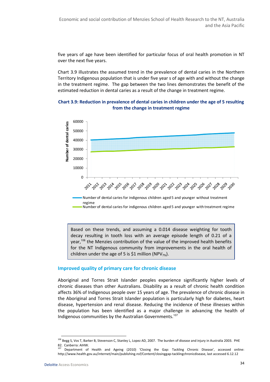five years of age have been identified for particular focus of oral health promotion in NT over the next five years.

Chart 3.9 illustrates the assumed trend in the prevalence of dental caries in the Northern Territory Indigenous population that is under five year s of age with and without the change in the treatment regime. The gap between the two lines demonstrates the benefit of the estimated reduction in dental caries as a result of the change in treatment regime.

### Chart 3.9: Reduction in prevalence of dental caries in children under the age of 5 resulting from the change in treatment regime



Based on these trends, and assuming a 0.014 disease weighting for tooth decay resulting in tooth loss with an average episode length of 0.21 of a year,<sup>106</sup> the Menzies contribution of the value of the improved health benefits for the NT Indigenous community from improvements in the oral health of children under the age of 5 is \$1 million (NPV $_{7\%}$ ).

#### Improved quality of primary care for chronic disease

Aboriginal and Torres Strait Islander peoples experience significantly higher levels of chronic diseases than other Australians. Disability as a result of chronic health condition affects 36% of Indigenous people over 15 years of age. The prevalence of chronic disease in the Aboriginal and Torres Strait Islander population is particularly high for diabetes, heart disease, hypertension and renal disease. Reducing the incidence of these illnesses within the population has been identified as a major challenge in advancing the health of Indigenous communities by the Australian Governments.<sup>107</sup>

<sup>&</sup>lt;sup>106</sup> Begg S, Vos T, Barker B, Stevenson C, Stanley L, Lopez AD, 2007. The burden of disease and injury in Australia 2003. PHE 82. Canberra: AIHW.

<sup>107</sup> Department of Health and Ageing (2010) 'Closing the Gap: Tackling Chronic Disease', accessed online: http://www.health.gov.au/internet/main/publishing.nsf/Content/closinggap-tacklingchronicdisease, last accessed 6.12.12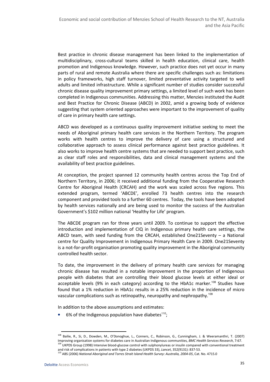Best practice in chronic disease management has been linked to the implementation of multidisciplinary, cross-cultural teams skilled in health education, clinical care, health promotion and Indigenous knowledge. However, such practice does not yet occur in many parts of rural and remote Australia where there are specific challenges such as: limitations in policy frameworks, high staff turnover, limited preventative activity targeted to well adults and limited infrastructure. While a significant number of studies consider successful chronic disease quality improvement primary settings, a limited level of such work has been completed in Indigenous communities. Addressing this matter, Menzies instituted the Audit and Best Practice for Chronic Disease (ABCD) in 2002, amid a growing body of evidence suggesting that system oriented approaches were important to the improvement of quality of care in primary health care settings.

ABCD was developed as a continuous quality improvement initiative seeking to meet the needs of Aboriginal primary health care services in the Northern Territory. The program works with health centres to improve the delivery of care using a structured and collaborative approach to assess clinical performance against best practice guidelines. It also works to improve health centre systems that are needed to support best practice, such as clear staff roles and responsibilities, data and clinical management systems and the availability of best practice guidelines.

At conception, the project spanned 12 community health centres across the Top End of Northern Territory, in 2006; it received additional funding from the Cooperative Research Centre for Aboriginal Health (CRCAH) and the work was scaled across five regions. This extended program, termed 'ABCDE', enrolled 73 health centres into the research component and provided tools to a further 60 centres. Today, the tools have been adopted by health services nationally and are being used to monitor the success of the Australian Government's \$102 million national 'Healthy for Life' program.

The ABCDE program ran for three years until 2009. To continue to support the effective introduction and implementation of CIQ in Indigenous primary health care settings, the ABCD team, with seed funding from the CRCAH, established One21Seventy  $-$  a National centre for Quality Improvement in Indigenous Primary Health Care in 2009. One21Seventy is a not-for-profit organisation promoting quality improvement in the Aboriginal community controlled health sector.

To date, the improvement in the delivery of primary health care services for managing chronic disease has resulted in a notable improvement in the proportion of Indigenous people with diabetes that are controlling their blood glucose levels at either ideal or acceptable levels (9% in each category) according to the HbA1c marker.<sup>108</sup> Studies have found that a 1% reduction in HbA1c results in a 25% reduction in the incidence of micro vascular complications such as retinopathy, neuropathy and nephropathy.<sup>109</sup>

In addition to the above assumptions and estimates:

6% of the Indigenous population have diabetes $110$ ;

<sup>108</sup> Bailie, R., Si, D., Dowden, M., O'Donoghue, L., Conners, C., Robinson, G., Cunningham, J. & Weeramanthri, T. (2007) Improving organisation systems for diabetes care in Australian Indigenous communities, BMC Health Services Research, 7:67. <sup>109</sup> UKPDS Group (1998) Intensive blood-glucose control with sulphonylureas or insulin compared with conventional treatment and risk of complications in patients with type 2 diabetes (UKPDS 33), Lancet, 352(9131): 837-53.

 $^{110}$  ABS (2006) National Aboriginal and Torres Strait Island Health Survey: Australia, 2004-05, Cat. No. 4715.0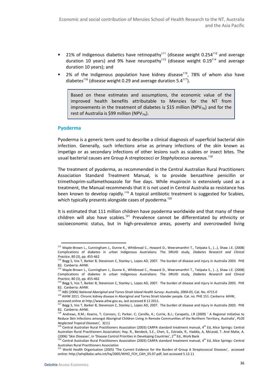- 21% of Indigenous diabetics have retinopathy<sup>111</sup> (disease weight 0.254<sup>112</sup> and average duration 10 years) and 9% have neuropathy<sup>113</sup> (disease weight  $0.19^{114}$  and average duration 10 years); and
- 2% of the Indigenous population have kidney disease<sup>115</sup>, 78% of whom also have diabetes<sup>116</sup> (disease weight 0.29 and average duration 5.4<sup>117</sup>).

Based on these estimates and assumptions, the economic value of the improved health benefits attributable to Menzies for the NT from improvements in the treatment of diabetes is \$15 million (NPV $_{7\%}$ ) and for the rest of Australia is \$99 million (NPV $_{7\%}$ ).

#### Pyoderma

Pyoderma is a generic term used to describe a clinical diagnosis of superficial bacterial skin infection. Generally, such infections arise as primary infections of the skin known as impetigo or as secondary infections of other lesions such as scabies or insect bites. The usual bacterial causes are Group A streptococci or Staphylococus aureaus.<sup>118</sup>

The treatment of pyoderma, as recommended in the Central Australian Rural Practitioners Association Standard Treatment Manual, is to provide benzathine penicillin or trimethoprim-sulfamethoxazole for five days. While mupirocin is extensively used as a treatment, the Manual recommends that it is not used in Central Australia as resistance has been known to develop rapidly.<sup>119</sup> A topical antibiotic treatment is suggested for Scabies, which typically presents alongside cases of pyoderma.<sup>120</sup>

It is estimated that 111 million children have pyoderma worldwide and that many of these children will also have scabies.<sup>121</sup> Prevalence cannot be differentiated by ethnicity or socioeconomic status, but in high-prevalence areas, poverty and overcrowded living

<sup>116</sup> AIHW 2011. Chronic kidney disease in Aboriginal and Torres Strait Islander people. Cat. no. PHE 151. Canberra: AIHW,

<sup>111</sup> Maple-Brown L., Cunningham J., Dunne K., Whitbread C., Howard D., Weeramanthri T., Tatipata S., (...), Shaw J.E. (2008) Complications of diabetes in urban Indigenous Australians: The DRUID study, Diabetes Research and Clinical Practice, 80 (3), pp. 455-462

<sup>112</sup> Begg S, Vos T, Barker B, Stevenson C, Stanley L, Lopez AD, 2007. The burden of disease and injury in Australia 2003. PHE 82. Canberra: AIHW.

<sup>113</sup> Maple-Brown L., Cunningham J., Dunne K., Whitbread C., Howard D., Weeramanthri T., Tatipata S., (...), Shaw J.E. (2008) Complications of diabetes in urban Indigenous Australians: The DRUID study, Diabetes Research and Clinical Practice, 80 (3), pp. 455-462

<sup>&</sup>lt;sup>114</sup> Begg S, Vos T, Barker B, Stevenson C, Stanley L, Lopez AD, 2007. The burden of disease and injury in Australia 2003. PHE 82. Canberra: AIHW.

<sup>&</sup>lt;sup>115</sup> ABS (2006) National Aboriginal and Torres Strait Island Health Survey: Australia, 2004-05, Cat. No. 4715.0

accessed online at http://www.aihw.gov.au, last accessed 8 12 2011.

<sup>117</sup> Begg S, Vos T, Barker B, Stevenson C, Stanley L, Lopez AD, 2007. The burden of disease and injury in Australia 2003. PHE 82. Canberra: AIHW.

<sup>118</sup> Andrews, R.M.; Kearns, T; Connors, C; Parker, C; Carville, K.; Currie, B.J.; Carapetis, J.R (2009) ' A Regional Initiative to Reduce Skin Infections amongst Aboriginal Children Living in Remote Communities of the Northern Territory, Australia', PLOS Neglected Tropical Diseases', 3(11)

<sup>&</sup>lt;sup>119</sup> Central Australian Rural Practitioners Association (2003) CARPA standard treatment manual, 4<sup>th</sup> Ed, Alice Springs: Central Australian Rural Practitioners Association; Hay, R., Bendeck, S.E., Chen, S., Estrada, R., Haddix, A, McLeod, T. And Mahe, A. (2006) 'Skin Diseases', in 'Disease Control Priorities in Developing Countries', 2<sup>nd</sup> Ed., Work Bank

 $^{120}$  Central Australian Rural Practitioners Association (2003) CARPA standard treatment manual,  $4^{\text{th}}$  Ed, Alice Springs: Central Australian Rural Practitioners Association

<sup>&</sup>lt;sup>121</sup> World Health Organisation (2005) 'The Current Evidence for the Burden of Group A Streptococcal Diseases', accessed online: http://whqlibdoc.who.int/hq/2005/WHO\_FCH\_CAH\_05.07.pdf, last accessed 5.12.11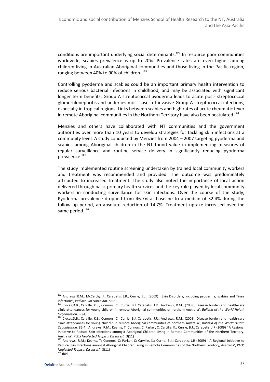conditions are important underlying social determinants.<sup>122</sup> In resource poor communities worldwide, scabies prevalence is up to 20%. Prevalence rates are even higher among children living in Australian Aboriginal communities and those living in the Pacific region, ranging between 40% to 90% of children.<sup>123</sup>

Controlling pyoderma and scabies could be an important primary health intervention to reduce serious bacterial infections in childhood, and may be associated with significant longer term benefits. Group A streptococcal pyoderma leads to acute post- streptococcal glomerulonephritis and underlies most cases of invasive Group A streptococcal infections, especially in tropical regions. Links between scabies and high rates of acute rheumatic fever in remote Aboriginal communities in the Northern Territory have also been postulated.<sup>124</sup>

Menzies and others have collaborated with NT communities and the government authorities over more than 10 years to develop strategies for tackling skin infections at a community level. A study conducted by Menzies from 2004 – 2007 targeting pyoderma and scabies among Aboriginal children in the NT found value in implementing measures of regular surveillance and routine service delivery in significantly reducing pyoderma prevalence.<sup>125</sup>

The study implemented routine screening undertaken by trained local community workers and treatment was recommended and provided. The outcome was predominately attributed to increased treatment. The study also noted the importance of local action delivered through basic primary health services and the key role played by local community workers in conducting surveillance for skin infections. Over the course of the study, Pyoderma prevalence dropped from 46.7% at baseline to a median of 32.4% during the follow up period, an absolute reduction of 14.7%. Treatment uptake increased over the same period.<sup>126</sup>

l

<sup>122</sup> Andrews R.M., McCarthy, J., Carapetis, J.R., Currie, B.J., (2009) ' Skin Disorders, including pyoderma, scabies and Tinea Infections', Pediatr Clin North Am, 56(6)

<sup>123</sup> Clucas, D.B., Carville, K.S., Connors, C., Currie, B.J, Carapetis, J.R., Andrews, R.M., (2008), Disease burden and health-care clinic attendances for young children in remote Aboriginal communities of northern Australia', Bulletin of the World Helath Organisation, 86(4)

<sup>124</sup> Clucas,D.B., Carville, K.S., Connors, C., Currie, B.J, Carapetis, J.R., Andrews, R.M., (2008), Disease burden and health-care clinic attendances for young children in remote Aboriginal communities of northern Australia', Bulletin of the World Helath Organisation, 86(4); Andrews, R.M.; Kearns, T; Connors, C; Parker, C; Carville, K.; Currie, B.J.; Carapetis, J.R (2009) ' A Regional Initiative to Reduce Skin Infections amongst Aboriginal Children Living in Remote Communities of the Northern Territory, Australia', PLOS Neglected Tropical Diseases', 3(11)

<sup>125</sup> Andrews, R.M.; Kearns, T; Connors, C; Parker, C; Carville, K.; Currie, B.J.; Carapetis, J.R (2009) ' A Regional Initiative to Reduce Skin Infections amongst Aboriginal Children Living in Remote Communities of the Northern Territory, Australia', PLOS Neglected Tropical Diseases', 3(11)  $126$  Ibid.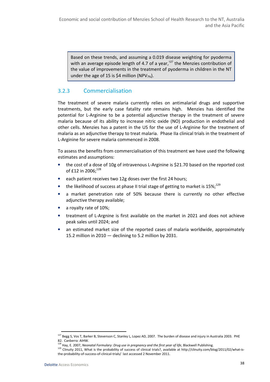Based on these trends, and assuming a 0.019 disease weighting for pyoderma with an average episode length of 4.7 of a year, $127$  the Menzies contribution of the value of improvements in the treatment of pyoderma in children in the NT under the age of 15 is \$4 million (NPV $_{7\%}$ ).

# 3.2.3 Commercialisation

The treatment of severe malaria currently relies on antimalarial drugs and supportive treatments, but the early case fatality rate remains high. Menzies has identified the potential for L-Arginine to be a potential adjunctive therapy in the treatment of severe malaria because of its ability to increase nitric oxide (NO) production in endothelial and other cells. Menzies has a patent in the US for the use of L-Arginine for the treatment of malaria as an adjunctive therapy to treat malaria. Phase IIa clinical trials in the treatment of L-Arginine for severe malaria commenced in 2008.

To assess the benefits from commercialisation of this treatment we have used the following estimates and assumptions:

- the cost of a dose of 10g of intravenous L-Arginine is \$21.70 based on the reported cost of £12 in 2006:<sup>128</sup>
- each patient receives two 12g doses over the first 24 hours;
- the likelihood of success at phase II trial stage of getting to market is  $15\%$ ;<sup>129</sup>
- a market penetration rate of 50% because there is currently no other effective adjunctive therapy available;
- a royalty rate of 10%;
- treatment of L-Argnine is first available on the market in 2021 and does not achieve peak sales until 2024; and
- an estimated market size of the reported cases of malaria worldwide, approximately 15.2 million in 2010 — declining to 5.2 million by 2031.

<sup>&</sup>lt;sup>127</sup> Begg S, Vos T, Barker B, Stevenson C, Stanley L, Lopez AD, 2007. The burden of disease and injury in Australia 2003. PHE 82. Canberra: AIHW.

<sup>&</sup>lt;sup>128</sup> Hay, E. 2007, Neonatal Formulary: Drug use in pregnancy and the first year of life, Blackwell Publishing.

<sup>129</sup> Clinuity 2011, What is the probability of success of clinical trials?, available at http://clinuity.com/blog/2011/02/what-isthe-probability-of-success-of-clinical-trials/ last accessed 2 November 2011.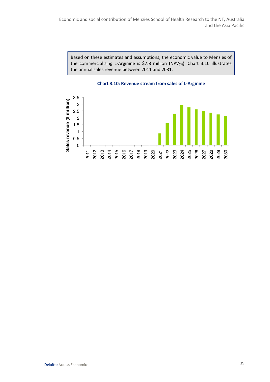Based on these estimates and assumptions, the economic value to Menzies of the commercialising L-Arginine is \$7.8 million (NPV<sub>7%</sub>). Chart 3.10 illustrates the annual sales revenue between 2011 and 2031.



Chart 3.10: Revenue stream from sales of L-Arginine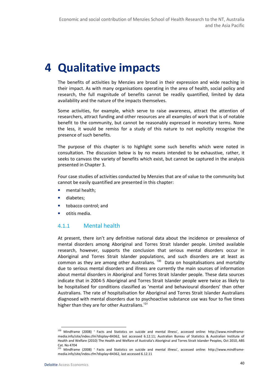# 4 Qualitative impacts

The benefits of activities by Menzies are broad in their expression and wide reaching in their impact. As with many organisations operating in the area of health, social policy and research, the full magnitude of benefits cannot be readily quantified, limited by data availability and the nature of the impacts themselves.

Some activities, for example, which serve to raise awareness, attract the attention of researchers, attract funding and other resources are all examples of work that is of notable benefit to the community, but cannot be reasonably expressed in monetary terms. None the less, it would be remiss for a study of this nature to not explicitly recognise the presence of such benefits.

The purpose of this chapter is to highlight some such benefits which were noted in consultation. The discussion below is by no means intended to be exhaustive, rather, it seeks to canvass the variety of benefits which exist, but cannot be captured in the analysis presented in Chapter 3.

Four case studies of activities conducted by Menzies that are of value to the community but cannot be easily quantified are presented in this chapter:

- mental health;
- diabetes;
- tobacco control; and
- otitis media.

# 4.1.1 Mental health

At present, there isn't any definitive national data about the incidence or prevalence of mental disorders among Aboriginal and Torres Strait Islander people. Limited available research, however, supports the conclusion that serious mental disorders occur in Aboriginal and Torres Strait Islander populations, and such disorders are at least as common as they are among other Australians.<sup>130</sup> Data on hospitalisations and mortality due to serious mental disorders and illness are currently the main sources of information about mental disorders in Aboriginal and Torres Strait Islander people. These data sources indicate that in 2004-5 Aboriginal and Torres Strait Islander people were twice as likely to be hospitalised for conditions classified as 'mental and behavioural disorders' than other Australians. The rate of hospitalisation for Aboriginal and Torres Strait Islander Australians diagnosed with mental disorders due to psychoactive substance use was four to five times higher than they are for other Australians.<sup>131</sup>

<sup>130</sup> Mindframe (2008) ' Facts and Statistics on suicide and mental illness', accessed online: http://www.mindframemedia.info/site/index.cfm?display=84362, last accessed 6.12.11; Australian Bureau of Statistics & Australian Institute of Health and Welfare (2010) The Health and Welfare of Australia's Aboriginal and Torres Strait Islander Peoples, Oct 2010, ABS Cat. No 4704

<sup>&</sup>lt;sup>131</sup> Mindframe (2008) ' Facts and Statistics on suicide and mental illness', accessed online: http://www.mindframemedia.info/site/index.cfm?display=84362, last accessed 6.12.11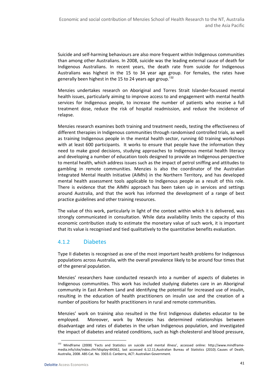Suicide and self-harming behaviours are also more frequent within Indigenous communities than among other Australians. In 2008, suicide was the leading external cause of death for Indigenous Australians. In recent years, the death rate from suicide for Indigenous Australians was highest in the 15 to 34 year age group. For females, the rates have generally been highest in the 15 to 24 years age group.<sup>132</sup>

Menzies undertakes research on Aboriginal and Torres Strait Islander-focussed mental health issues, particularly aiming to improve access to and engagement with mental health services for Indigenous people, to increase the number of patients who receive a full treatment dose, reduce the risk of hospital readmission, and reduce the incidence of relapse.

Menzies research examines both training and treatment needs, testing the effectiveness of different therapies in Indigenous communities through randomised controlled trials, as well as training Indigenous people in the mental health sector, running 60 training workshops with at least 600 participants. It works to ensure that people have the information they need to make good decisions, studying approaches to Indigenous mental health literacy and developing a number of education tools designed to provide an Indigenous perspective to mental health, which address issues such as the impact of petrol sniffing and attitudes to gambling in remote communities. Menzies is also the coordinator of the Australian Integrated Mental Health Initiative (AIMhi) in the Northern Territory, and has developed mental health assessment tools applicable to Indigenous people as a result of this role. There is evidence that the AIMhi approach has been taken up in services and settings around Australia, and that the work has informed the development of a range of best practice guidelines and other training resources.

The value of this work, particularly in light of the context within which it is delivered, was strongly communicated in consultation. While data availability limits the capacity of this economic contribution study to estimate the monetary value of such work, it is important that its value is recognised and tied qualitatively to the quantitative benefits evaluation.

# 4.1.2 Diabetes

Type II diabetes is recognised as one of the most important health problems for Indigenous populations across Australia, with the overall prevalence likely to be around four times that of the general population.

Menzies' researchers have conducted research into a number of aspects of diabetes in Indigenous communities. This work has included studying diabetes care in an Aboriginal community in East Arnhem Land and identifying the potential for increased use of insulin, resulting in the education of health practitioners on insulin use and the creation of a number of positions for health practitioners in rural and remote communities.

Menzies' work on training also resulted in the first Indigenous diabetes educator to be employed. Moreover, work by Menzies has determined relationships between disadvantage and rates of diabetes in the urban Indigenous population, and investigated the impact of diabetes and related conditions, such as high cholesterol and blood pressure,

<sup>132</sup> Mindframe (2008) 'Facts and Statistics on suicide and mental illness', accessed online: http://www.mindframemedia.info/site/index.cfm?display=84362, last accessed 6.12.11;Australian Bureau of Statistics (2010). Causes of Death, Australia, 2008. ABS Cat. No. 3303.0. Canberra, ACT: Australian Government.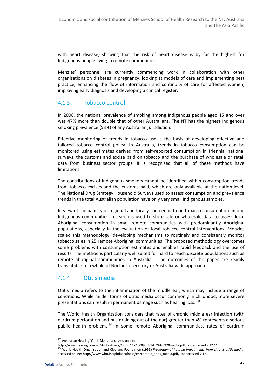with heart disease, showing that the risk of heart disease is by far the highest for Indigenous people living in remote communities.

Menzies' personnel are currently commencing work in collaboration with other organisations on diabetes in pregnancy, looking at models of care and implementing best practice, enhancing the flow of information and continuity of care for affected women, improving early diagnosis and developing a clinical register.

## 4.1.3 Tobacco control

In 2008, the national prevalence of smoking among Indigenous people aged 15 and over was 47% more than double that of other Australians. The NT has the highest Indigenous smoking prevalence (53%) of any Australian jurisdiction.

Effective monitoring of trends in tobacco use is the basis of developing effective and tailored tobacco control policy. In Australia, trends in tobacco consumption can be monitored using estimates derived from self-reported consumption in triennial national surveys, the customs and excise paid on tobacco and the purchase of wholesale or retail data from business sector groups. It is recognised that all of these methods have limitations.

The contributions of Indigenous smokers cannot be identified within consumption trends from tobacco excises and the customs paid, which are only available at the nation-level. The National Drug Strategy Household Surveys used to assess consumption and prevalence trends in the total Australian population have only very small Indigenous samples.

In view of the paucity of regional and locally sourced data on tobacco consumption among Indigenous communities, research is used to store sale or wholesale data to assess local Aboriginal consumption in small remote communities with predominantly Aboriginal populations, especially in the evaluation of local tobacco control interventions. Menzies scaled this methodology, developing mechanisms to routinely and consistently monitor tobacco sales in 25 remote Aboriginal communities. The proposed methodology overcomes some problems with consumption estimates and enables rapid feedback and the use of results. The method is particularly well suited for hard to reach discrete populations such as remote aboriginal communities in Australia. The outcomes of the paper are readily translatable to a whole of Northern Territory or Australia-wide approach.

## 4.1.4 Otitis media

Otitis media refers to the inflammation of the middle ear, which may include a range of conditions. While milder forms of otitis media occur commonly in childhood, more severe presentations can result in permanent damage such as hearing loss.<sup>133</sup>

The World Health Organization considers that rates of chronic middle ear infection (with eardrum perforation and pus draining out of the ear) greater than 4% represents a serious public health problem.<sup>134</sup> In some remote Aboriginal communities, rates of eardrum

<sup>133</sup> Australian Hearing 'Otitis Media' accessed online:

http://www.hearing.com.au/digitalAssets/4735\_1174000900894\_Otitis%20media.pdf, last accessed 7.12.11

 $134$  World Health Organisation and Ciba and Foundation (1998) Prevention of hearing impairments from chronic otitis media, accessed online: http://www.who.int/pbd/deafness/en/chronic\_otitis\_media.pdf, last accessed 7.12.11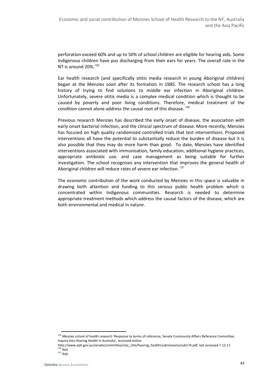perforation exceed 60% and up to 50% of school children are eligible for hearing aids. Some Indigenous children have pus discharging from their ears for years. The overall rate in the NT is around 20%. $135$ 

Ear health research (and specifically otitis media research in young Aboriginal children) began at the Menzies soon after its formation in 1985. The research school has a long history of trying to find solutions to middle ear infection in Aboriginal children. Unfortunately, severe otitis media is a complex medical condition which is thought to be caused by poverty and poor living conditions. Therefore, medical treatment of the condition cannot alone address the causal root of this disease.  $^{136}$ 

Previous research Menzies has described the early onset of disease, the association with early onset bacterial infection, and the clinical spectrum of disease. More recently, Menzies has focused on high quality randomized controlled trials that test interventions. Proposed interventions all have the potential to substantially reduce the burden of disease but it is also possible that they may do more harm than good. To date, Menzies have identified interventions associated with immunisation, family education, additional hygiene practices, appropriate antibiotic use, and case management as being suitable for further investigation. The school recognises any intervention that improves the general health of Aboriginal children will reduce rates of severe ear infection.<sup>137</sup>

The economic contribution of the work conducted by Menzies in this space is valuable in drawing both attention and funding to this serious public health problem which is concentrated within Indigenous communities. Research is needed to determine appropriate treatment methods which address the causal factors of the disease, which are both environmental and medical in nature.

<sup>&</sup>lt;sup>135</sup> Menzies school of health research 'Response to terms of reference, Senate Community Affairs Reference Committee, Inquiry into Hearing Health in Australia', accessed online:

http://www.aph.gov.au/senate/committee/clac\_ctte/hearing\_health/submissions/sub174.pdf, last accessed 7.12.11  $136$  Ibid.

 $137$  Ibid.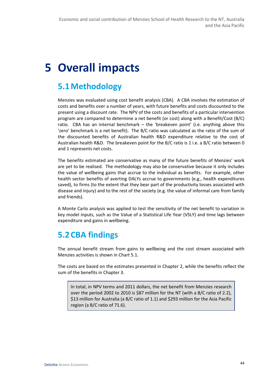# 5 Overall impacts

# 5.1Methodology

Menzies was evaluated using cost benefit analysis (CBA). A CBA involves the estimation of costs and benefits over a number of years, with future benefits and costs discounted to the present using a discount rate. The NPV of the costs and benefits of a particular intervention program are compared to determine a net benefit (or cost) along with a Benefit/Cost (B/C) ratio. CBA has an internal benchmark – the 'breakeven point' (i.e. anything above this 'zero' benchmark is a net benefit). The B/C ratio was calculated as the ratio of the sum of the discounted benefits of Australian health R&D expenditure relative to the cost of Australian health R&D. The breakeven point for the B/C ratio is 1 i.e. a B/C ratio between 0 and 1 represents net costs.

The benefits estimated are conservative as many of the future benefits of Menzies' work are yet to be realised. The methodology may also be conservative because it only includes the value of wellbeing gains that accrue to the individual as benefits. For example, other health sector benefits of averting DALYs accrue to governments (e.g., health expenditures saved), to firms (to the extent that they bear part of the productivity losses associated with disease and injury) and to the rest of the society (e.g. the value of informal care from family and friends).

A Monte Carlo analysis was applied to test the sensitivity of the net benefit to variation in key model inputs, such as the Value of a Statistical Life Year (VSLY) and time lags between expenditure and gains in wellbeing.

# 5.2 CBA findings

The annual benefit stream from gains to wellbeing and the cost stream associated with Menzies activities is shown in Chart 5.1.

The costs are based on the estimates presented in Chapter 2, while the benefits reflect the sum of the benefits in Chapter 3.

In total, in NPV terms and 2011 dollars, the net benefit from Menzies research over the period 2002 to 2010 is \$87 million for the NT (with a B/C ratio of 2.2), \$13 million for Australia (a B/C ratio of 1.1) and \$293 million for the Asia Pacific region (a B/C ratio of 71.6).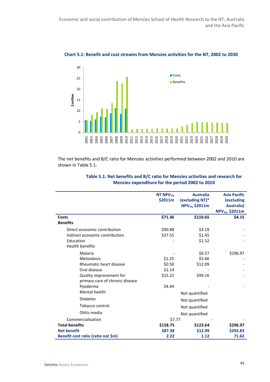

Chart 5.1: Benefit and cost streams from Menzies activities for the NT, 2002 to 2030

The net benefits and B/C ratio for Menzies activities performed between 2002 and 2010 are shown in Table 5.1.

|                                    | NT NPV <sub>7%</sub> | <b>Australia</b>          | <b>Asia Pacific</b>       |
|------------------------------------|----------------------|---------------------------|---------------------------|
|                                    | \$2011m              | (excluding NT)*           | (excluding                |
|                                    |                      | NPV <sub>7%</sub> \$2011m | Australia)                |
|                                    |                      |                           | NPV <sub>7%</sub> \$2011m |
| Costs                              | \$71.36              | \$110.65                  | \$4.15                    |
| <b>Benefits</b>                    |                      |                           |                           |
| Direct economic contribution       | \$90.88              | \$3.19                    |                           |
| Indirect economic contribution     | \$37.55              | \$1.45                    |                           |
| Education                          |                      | \$1.52                    |                           |
| <b>Health benefits</b>             |                      |                           |                           |
| Malaria                            |                      | \$0.57                    | \$296.97                  |
| Melioidosis                        | \$1.25               | \$5.66                    |                           |
| Rheumatic heart disease            | \$0.50               | \$12.09                   |                           |
| Oral disease                       | \$1.14               |                           |                           |
| Quality improvement for            | \$15.22              | \$99.16                   |                           |
| primary care of chronic disease    |                      |                           |                           |
| Pyoderma                           | \$4.44               |                           |                           |
| Mental health                      |                      | Not quantified            |                           |
| <b>Diabetes</b>                    |                      | Not quantified            |                           |
| Tobacco control                    |                      | Not quantified            |                           |
| Otitis media                       |                      | Not quantified            |                           |
| Commercialisation                  | \$7.77               |                           |                           |
| <b>Total benefits</b>              | \$158.75             | \$123.64                  | \$296.97                  |
| <b>Net benefit</b>                 | \$87.38              | \$12.99                   | \$292.83                  |
| Benefit cost ratio (ratio not \$m) | 2.22                 | 1.12                      | 71.62                     |

### Table 5.1: Net benefits and B/C ratio for Menzies activities and research for Menzies expenditure for the period 2002 to 2010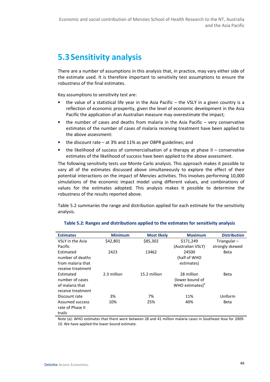# 5.3 Sensitivity analysis

There are a number of assumptions in this analysis that, in practice, may vary either side of the estimate used. It is therefore important to sensitivity test assumptions to ensure the robustness of the final estimates.

Key assumptions to sensitivity test are:

- the value of a statistical life year in the Asia Pacific the VSLY in a given country is a reflection of economic prosperity, given the level of economic development in the Asia Pacific the application of an Australian measure may overestimate the impact;
- the number of cases and deaths from malaria in the Asia Pacific very conservative estimates of the number of cases of malaria receiving treatment have been applied to the above assessment:
- the discount rate  $-$  at 3% and 11% as per OBPR guidelines; and
- the likelihood of success of commercialisation of a therapy at phase  $II$  conservative estimates of the likelihood of success have been applied to the above assessment.

The following sensitivity tests use Monte Carlo analysis. This approach makes it possible to vary all of the estimates discussed above simultaneously to explore the effect of their potential interactions on the impact of Menzies activities. This involves performing 10,000 simulations of the economic impact model using different values, and combinations of values for the estimates adopted. This analysis makes it possible to determine the robustness of the results reported above.

Table 5.2 summaries the range and distribution applied for each estimate for the sensitivity analysis.

| <b>Estimates</b>  | <b>Minimum</b> | <b>Most likely</b> | <b>Maximum</b>              | <b>Distribution</b> |
|-------------------|----------------|--------------------|-----------------------------|---------------------|
| VSLY in the Asia  | \$42,801       | \$85,302           | \$171,249                   | Triangular $-$      |
| Pacific           |                |                    | (Australian VSLY)           | strongly skewed     |
| Estimated         | 2423           | 13462              | 24500                       | <b>Beta</b>         |
| number of deaths  |                |                    | (half of WHO                |                     |
| from malaria that |                |                    | estimates)                  |                     |
| receive treatment |                |                    |                             |                     |
| Estimated         | 2.3 million    | 15.2 million       | 28 million                  | <b>Beta</b>         |
| number of cases   |                |                    | (lower bound of             |                     |
| of malaria that   |                |                    | WHO estimates) <sup>a</sup> |                     |
| receive treatment |                |                    |                             |                     |
| Discount rate     | 3%             | 7%                 | 11%                         | Uniform             |
| Assumed success   | 10%            | 25%                | 40%                         | Beta                |
| rate of Phase II  |                |                    |                             |                     |
| trails            |                |                    |                             |                     |

#### Table 5.2: Ranges and distributions applied to the estimates for sensitivity analysis

Note (a): WHO estimates that there were between 28 and 41 million malaria cases in Southeast Asia for 2009- 10. We have applied the lower bound estimate.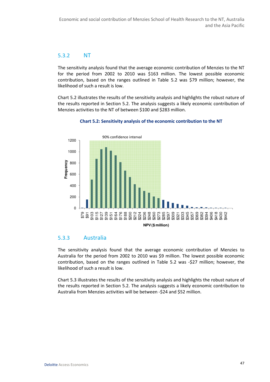## 5.3.2 NT

The sensitivity analysis found that the average economic contribution of Menzies to the NT for the period from 2002 to 2010 was \$163 million. The lowest possible economic contribution, based on the ranges outlined in Table 5.2 was \$79 million; however, the likelihood of such a result is low.

Chart 5.2 illustrates the results of the sensitivity analysis and highlights the robust nature of the results reported in Section 5.2. The analysis suggests a likely economic contribution of Menzies activities to the NT of between \$100 and \$283 million.



#### Chart 5.2: Sensitivity analysis of the economic contribution to the NT

### 5.3.3 Australia

The sensitivity analysis found that the average economic contribution of Menzies to Australia for the period from 2002 to 2010 was \$9 million. The lowest possible economic contribution, based on the ranges outlined in Table 5.2 was -\$27 million; however, the likelihood of such a result is low.

Chart 5.3 illustrates the results of the sensitivity analysis and highlights the robust nature of the results reported in Section 5.2. The analysis suggests a likely economic contribution to Australia from Menzies activities will be between -\$24 and \$52 million.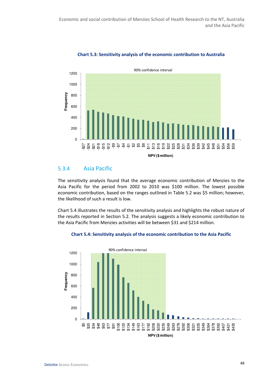

### Chart 5.3: Sensitivity analysis of the economic contribution to Australia

## 5.3.4 Asia Pacific

The sensitivity analysis found that the average economic contribution of Menzies to the Asia Pacific for the period from 2002 to 2010 was \$100 million. The lowest possible economic contribution, based on the ranges outlined in Table 5.2 was \$5 million; however, the likelihood of such a result is low.

Chart 5.4 illustrates the results of the sensitivity analysis and highlights the robust nature of the results reported in Section 5.2. The analysis suggests a likely economic contribution to the Asia Pacific from Menzies activities will be between \$31 and \$214 million.

#### Chart 5.4: Sensitivity analysis of the economic contribution to the Asia Pacific

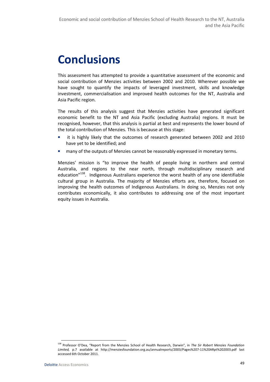# **Conclusions**

This assessment has attempted to provide a quantitative assessment of the economic and social contribution of Menzies activities between 2002 and 2010. Wherever possible we have sought to quantify the impacts of leveraged investment, skills and knowledge investment, commercialisation and improved health outcomes for the NT, Australia and Asia Pacific region.

The results of this analysis suggest that Menzies activities have generated significant economic benefit to the NT and Asia Pacific (excluding Australia) regions. It must be recognised, however, that this analysis is partial at best and represents the lower bound of the total contribution of Menzies. This is because at this stage:

- it is highly likely that the outcomes of research generated between 2002 and 2010 have yet to be identified; and
- many of the outputs of Menzies cannot be reasonably expressed in monetary terms.

Menzies' mission is "to improve the health of people living in northern and central Australia, and regions to the near north, through multidisciplinary research and education"<sup>138</sup>. Indigenous Australians experience the worst health of any one identifiable cultural group in Australia. The majority of Menzies efforts are, therefore, focused on improving the health outcomes of Indigenous Australians. In doing so, Menzies not only contributes economically, it also contributes to addressing one of the most important equity issues in Australia.

<sup>138</sup> Professor O'Dea, "Report from the Menzies School of Health Research, Darwin", in The Sir Robert Menzies Foundation Limited, p.7 available at http://menziesfoundation.org.au/annualreports/2003/Pages%207-11%20ARpt%202003.pdf last accessed 6th October 2011.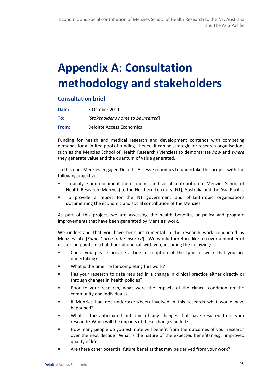# Appendix A: Consultation methodology and stakeholders

# Consultation brief

| Date: | 3 October 2011                      |
|-------|-------------------------------------|
| To:   | [Stakeholder's name to be inserted] |
| From: | Deloitte Access Economics           |

Funding for health and medical research and development contends with competing demands for a limited pool of funding. Hence, it can be strategic for research organisations such as the Menzies School of Health Research (Menzies) to demonstrate how and where they generate value and the quantum of value generated.

To this end, Menzies engaged Deloitte Access Economics to undertake this project with the following objectives:

- To analyse and document the economic and social contribution of Menzies School of Health Research (Menzies) to the Northern Territory (NT), Australia and the Asia Pacific.
- To provide a report for the NT government and philanthropic organisations documenting the economic and social contribution of the Menzies.

As part of this project, we are assessing the health benefits, or policy and program improvements that have been generated by Menzies' work.

We understand that you have been instrumental in the research work conducted by Menzies into [Subject area to be inserted]. We would therefore like to cover a number of discussion points in a half hour phone call with you, including the following:

- Could you please provide a brief description of the type of work that you are undertaking?
- What is the timeline for completing this work?
- Has your research to date resulted in a change in clinical practice either directly or through changes in health policies?
- Prior to your research, what were the impacts of the clinical condition on the community and individuals?
- If Menzies had not undertaken/been involved in this research what would have happened?
- What is the anticipated outcome of any changes that have resulted from your research? When will the impacts of these changes be felt?
- How many people do you estimate will benefit from the outcomes of your research over the next decade? What is the nature of the expected benefits? e.g. improved quality of life.
- Are there other potential future benefits that may be derived from your work?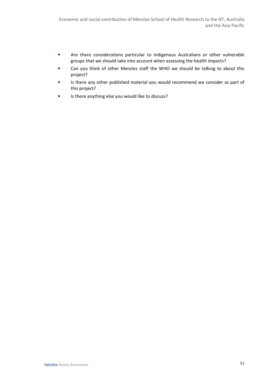- Are there considerations particular to Indigenous Australians or other vulnerable groups that we should take into account when assessing the health impacts?
- Can you think of other Menzies staff the WHO we should be talking to about this project?
- Is there any other published material you would recommend we consider as part of this project?
- Is there anything else you would like to discuss?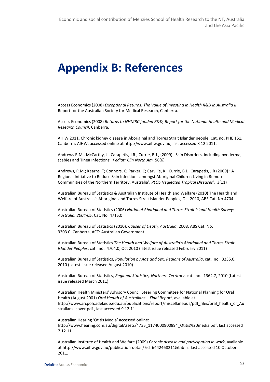# Appendix B: References

Access Economics (2008) Exceptional Returns: The Value of Investing in Health R&D in Australia II, Report for the Australian Society for Medical Research, Canberra.

Access Economics (2008) Returns to NHMRC funded R&D, Report for the National Health and Medical Research Council, Canberra.

AIHW 2011. Chronic kidney disease in Aboriginal and Torres Strait Islander people. Cat. no. PHE 151. Canberra: AIHW, accessed online at http://www.aihw.gov.au, last accessed 8 12 2011.

Andrews R.M., McCarthy, J., Carapetis, J.R., Currie, B.J., (2009) ' Skin Disorders, including pyoderma, scabies and Tinea Infections', Pediatr Clin North Am, 56(6)

Andrews, R.M.; Kearns, T; Connors, C; Parker, C; Carville, K.; Currie, B.J.; Carapetis, J.R (2009) ' A Regional Initiative to Reduce Skin Infections amongst Aboriginal Children Living in Remote Communities of the Northern Territory, Australia', PLOS Neglected Tropical Diseases', 3(11)

Australian Bureau of Statistics & Australian Institute of Health and Welfare (2010) The Health and Welfare of Australia's Aboriginal and Torres Strait Islander Peoples, Oct 2010, ABS Cat. No 4704

Australian Bureau of Statistics (2006) National Aboriginal and Torres Strait Island Health Survey: Australia, 2004-05, Cat. No. 4715.0

Australian Bureau of Statistics (2010). Causes of Death, Australia, 2008. ABS Cat. No. 3303.0. Canberra, ACT: Australian Government.

Australian Bureau of Statistics The Health and Welfare of Australia's Aboriginal and Torres Strait Islander Peoples, cat. no. 4704.0, Oct 2010 (latest issue released February 2011)

Australian Bureau of Statistics, Population by Age and Sex, Regions of Australia, cat. no. 3235.0, 2010 (Latest issue released August 2010)

Australian Bureau of Statistics, Regional Statistics, Northern Territory, cat. no. 1362.7, 2010 (Latest issue released March 2011)

Australian Health Ministers' Advisory Council Steering Committee for National Planning for Oral Health (August 2001) Oral Health of Australians – Final Report, available at http://www.arcpoh.adelaide.edu.au/publications/report/miscellaneous/pdf\_files/oral\_health\_of\_Au stralians\_cover.pdf , last accessed 9.12.11

Australian Hearing 'Otitis Media' accessed online: http://www.hearing.com.au/digitalAssets/4735\_1174000900894\_Otitis%20media.pdf, last accessed 7.12.11

Australian Institute of Health and Welfare (2009) Chronic disease and participation in work, available at http://www.aihw.gov.au/publication-detail/?id=6442468211&tab=2 last accessed 10 October 2011.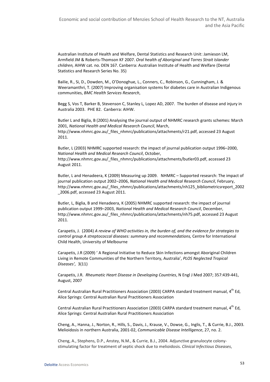Australian Institute of Health and Welfare, Dental Statistics and Research Unit: Jamieson LM, Armfield JM & Roberts-Thomson KF 2007. Oral health of Aboriginal and Torres Strait Islander children, AIHW cat. no. DEN 167. Canberra: Australian Institute of Health and Welfare (Dental Statistics and Research Series No. 35)

Bailie, R., Si, D., Dowden, M., O'Donoghue, L., Conners, C., Robinson, G., Cunningham, J. & Weeramanthri, T. (2007) Improving organisation systems for diabetes care in Australian Indigenous communities, BMC Health Services Research,

Begg S, Vos T, Barker B, Stevenson C, Stanley L, Lopez AD, 2007. The burden of disease and injury in Australia 2003. PHE 82. Canberra: AIHW.

Butler L and Biglia, B (2001) Analysing the journal output of NHMRC research grants schemes: March 2001, National Health and Medical Research Council, March, http://www.nhmrc.gov.au/\_files\_nhmrc/publications/attachments/r21.pdf, accessed 23 August 2011.

Butler, L (2003) NHMRC supported research: the impact of journal publication output 1996–2000, National Health and Medical Research Council, October, http://www.nhmrc.gov.au/\_files\_nhmrc/publications/attachments/butler03.pdf, accessed 23 August 2011.

Butler, L and Henadeera, K (2009) Measuring up 2009. NHMRC – Supported research: The impact of journal publication output 2002–2006, National Health and Medical Research Council, February, http://www.nhmrc.gov.au/\_files\_nhmrc/publications/attachments/nh125\_bibliometricsreport\_2002 \_2006.pdf, accessed 23 August 2011.

Butler, L, Biglia, B and Henadeera, K (2005) NHMRC supported research: the impact of journal publication output 1999–2003, National Health and Medical Research Council, December, http://www.nhmrc.gov.au/\_files\_nhmrc/publications/attachments/nh75.pdf, accessed 23 August 2011.

Carapetis, J. (2004) A review of WHO activities in, the burden of, and the evidence for strategies to control group A streptococcal diseases: summary and recommendations, Centre for International Child Health, University of Melbourne

Carapetis, J.R (2009) ' A Regional Initiative to Reduce Skin Infections amongst Aboriginal Children Living in Remote Communities of the Northern Territory, Australia', PLOS Neglected Tropical Diseases', 3(11)

Carapetis, J.R. Rheumatic Heart Disease in Developing Countries, N Engl J Med 2007; 357:439-441, August, 2007

Central Australian Rural Practitioners Association (2003) CARPA standard treatment manual, 4<sup>th</sup> Ed, Alice Springs: Central Australian Rural Practitioners Association

Central Australian Rural Practitioners Association (2003) CARPA standard treatment manual, 4<sup>th</sup> Ed, Alice Springs: Central Australian Rural Practitioners Association

Cheng, A., Hanna, J., Norton, R., Hills, S., Davis, J., Krause, V., Dowse, G., Inglis, T., & Currie, B.J., 2003. Melioidosis in northern Australia, 2001-02, Communicable Disease Intelligence, 27, no. 2.

Cheng, A., Stephens, D.P., Anstey, N.M., & Currie, B.J., 2004. Adjunctive granulocyte colonystimulating factor for treatment of septic shock due to melioidosis. Clinical Infectious Diseases,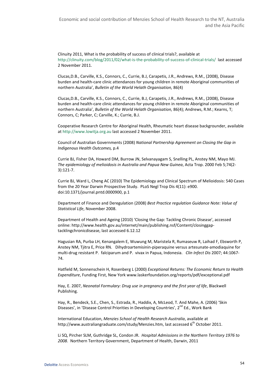Clinuity 2011, What is the probability of success of clinical trials?, available at http://clinuity.com/blog/2011/02/what-is-the-probability-of-success-of-clinical-trials/ last accessed 2 November 2011.

Clucas,D.B., Carville, K.S., Connors, C., Currie, B.J, Carapetis, J.R., Andrews, R.M., (2008), Disease burden and health-care clinic attendances for young children in remote Aboriginal communities of northern Australia', Bulletin of the World Helath Organisation, 86(4)

Clucas,D.B., Carville, K.S., Connors, C., Currie, B.J, Carapetis, J.R., Andrews, R.M., (2008), Disease burden and health-care clinic attendances for young children in remote Aboriginal communities of northern Australia', Bulletin of the World Helath Organisation, 86(4); Andrews, R.M.; Kearns, T; Connors, C; Parker, C; Carville, K.; Currie, B.J.

Cooperative Research Centre for Aboriginal Health, Rheumatic heart disease backgrounder, available at http://www.lowitja.org.au last accessed 2 November 2011.

Council of Australian Governments (2008) National Partnership Agreement on Closing the Gap in Indigenous Health Outcomes, p.4

Currie BJ, Fisher DA, Howard DM, Burrow JN, Selvanayagam S, Snelling PL, Anstey NM, Mayo MJ. The epidemiology of melioidosis in Australia and Papua New Guinea, Acta Trop. 2000 Feb 5;74(2- 3):121-7.

Currie BJ, Ward L, Cheng AC (2010) The Epidemiology and Clinical Spectrum of Melioidosis: 540 Cases from the 20 Year Darwin Prospective Study. PLoS Negl Trop Dis 4(11): e900. doi:10.1371/journal.pntd.0000900, p.1

Department of Finance and Deregulation (2008) Best Practice regulation Guidance Note: Value of Statistical Life, November 2008.

Department of Health and Ageing (2010) 'Closing the Gap: Tackling Chronic Disease', accessed online: http://www.health.gov.au/internet/main/publishing.nsf/Content/closinggaptacklingchronicdisease, last accessed 6.12.12

Hagusian RA, Purba LH, Kenangalem E, Wuwung M, Maristela R, Rumaseuw R, Laihad F, Ebsworth P, Anstey NM, Tjitra E, Price RN. Dihydroartemisinin-piperaquine versus artesunate-amodiaquine for multi-drug resistant P. falciparum and P. vivax in Papua, Indonesia. Clin Infect Dis 2007; 44:1067- 74.

Hatfield M, Sonnenschein H, Rosenberg L (2000) Exceptional Returns: The Economic Return to Health Expenditure, Funding First, New York www.laskerfoundation.org/reports/pdf/exceptional.pdf

Hay, E. 2007, Neonatal Formulary: Drug use in pregnancy and the first year of life, Blackwell Publishing.

Hay, R., Bendeck, S.E., Chen, S., Estrada, R., Haddix, A, McLeod, T. And Mahe, A. (2006) 'Skin Diseases', in 'Disease Control Priorities in Developing Countries', 2<sup>nd</sup> Ed., Work Bank

International Education, Menzies School of Health Research Australia, available at http://www.australiangraduate.com/study/Menzies.htm, last accessed 6<sup>th</sup> October 2011.

Li SQ, Pircher SLM, Guthridge SL, Condon JR. Hospital Admissions in the Northern Territory 1976 to 2008. Northern Territory Government, Department of Health, Darwin, 2011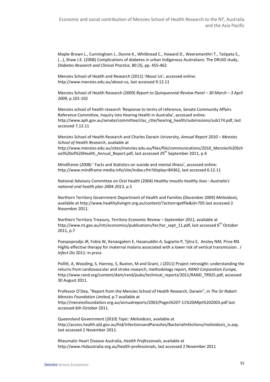Maple-Brown L., Cunningham J., Dunne K., Whitbread C., Howard D., Weeramanthri T., Tatipata S., (...), Shaw J.E. (2008) Complications of diabetes in urban Indigenous Australians: The DRUID study, Diabetes Research and Clinical Practice, 80 (3), pp. 455-462

Menzies School of Health and Research (2011) 'About Us', accessed online: http://www.menzies.edu.au/about-us, last accessed 9.12.11

Menzies School of Health Research (2009) Report to Quinquennial Review Panel – 30 March – 3 April 2009, p.101-102

Menzies school of health research 'Response to terms of reference, Senate Community Affairs Reference Committee, Inquiry into Hearing Health in Australia', accessed online: http://www.aph.gov.au/senate/committee/clac\_ctte/hearing\_health/submissions/sub174.pdf, last accessed 7.12.11

Menzies School of Health Research and Charles Darwin University, Annual Report 2010 – Menzies School of Health Research, available at

http://www.menzies.edu.au/sites/menzies.edu.au/files/file/communications/2010\_Menzies%20Sch ool%20of%20Health\_Annual\_Report.pdf, last accessed 29<sup>th</sup> September 2011, p.4

Mindframe (2008) ' Facts and Statistics on suicide and mental illness', accessed online: http://www.mindframe-media.info/site/index.cfm?display=84362, last accessed 6.12.11

National Advisory Committee on Oral Health (2004) Healthy mouths healthy lives : Australia's national oral health plan 2004-2013, p.5

Northern Territory Government Department of Health and Families (December 2009) Melioidosis, available at http://www.healthylivingnt.org.au/content/?action=getfile&id=705 last accessed 2 November 2011.

Northern Territory Treasury, Territory Economic Review – September 2011, available at http://www.nt.gov.au/ntt/economics/publications/ter/ter\_sept\_11.pdf, last accessed 6<sup>th</sup> October 2011, p.7

Poespoprodjo JR, Fobia W, Kenangalem E, Hasanuddin A, Sugiarto P, Tjitra E, Anstey NM, Price RN. Highly effective therapy for maternal malaria associated with a lower risk of vertical transmission. J Infect Dis 2011: in press

Pollitt, A, Wooding, S, Hanney, S, Buxton, M and Grant, J (2011) Project retrosight: understanding the returns from cardiovascular and stroke research, methodology report, RAND Corporation Europe, http://www.rand.org/content/dam/rand/pubs/technical\_reports/2011/RAND\_TR925.pdf, accessed 30 August 2011.

Professor O'Dea, "Report from the Menzies School of Health Research, Darwin", in The Sir Robert Menzies Foundation Limited, p.7 available at http://menziesfoundation.org.au/annualreports/2003/Pages%207-11%20ARpt%202003.pdf last accessed 6th October 2011.

Queensland Government (2010) Topic: Melioidosis, available at http://access.health.qld.gov.au/hid/InfectionsandParasites/BacterialInfections/melioidosis\_is.asp, last accessed 2 November 2011.

Rheumatic Heart Disease Australia, Health Professionals, available at http://www.rhdaustralia.org.au/health-professionals, last accessed 2 November 2011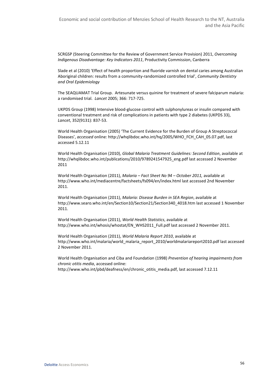SCRGSP (Steering Committee for the Review of Government Service Provision) 2011, Overcoming Indigenous Disadvantage: Key Indicators 2011, Productivity Commission, Canberra

Slade et al (2010) 'Effect of health proportion and fluoride varnish on dental caries among Australian Aboriginal children: results from a community-randomized controlled trial', Community Dentistry and Oral Epidemiology

The SEAQUAMAT Trial Group. Artesunate versus quinine for treatment of severe falciparum malaria: a randomised trial. Lancet 2005; 366: 717-725.

UKPDS Group (1998) Intensive blood-glucose control with sulphonylureas or insulin compared with conventional treatment and risk of complications in patients with type 2 diabetes (UKPDS 33), Lancet, 352(9131): 837-53.

World Health Organisation (2005) 'The Current Evidence for the Burden of Group A Streptococcal Diseases', accessed online: http://whqlibdoc.who.int/hq/2005/WHO\_FCH\_CAH\_05.07.pdf, last accessed 5.12.11

World Health Organisation (2010), Global Malaria Treatment Guidelines: Second Edition, available at http://whqlibdoc.who.int/publications/2010/9789241547925\_eng.pdf last accessed 2 November 2011

World Health Organisation (2011), Malaria – Fact Sheet No 94 – October 2011, available at http://www.who.int/mediacentre/factsheets/fs094/en/index.html last accessed 2nd November 2011.

World Health Organisation (2011), Malaria: Disease Burden in SEA Region, available at http://www.searo.who.int/en/Section10/Section21/Section340\_4018.htm last accessed 1 November 2011.

World Health Organisation (2011), World Health Statistics, available at http://www.who.int/whosis/whostat/EN\_WHS2011\_Full.pdf last accessed 2 November 2011.

World Health Organisation (2011), World Malaria Report 2010, available at http://www.who.int/malaria/world\_malaria\_report\_2010/worldmalariareport2010.pdf last accessed 2 November 2011.

World Health Organisation and Ciba and Foundation (1998) Prevention of hearing impairments from chronic otitis media, accessed online: http://www.who.int/pbd/deafness/en/chronic\_otitis\_media.pdf, last accessed 7.12.11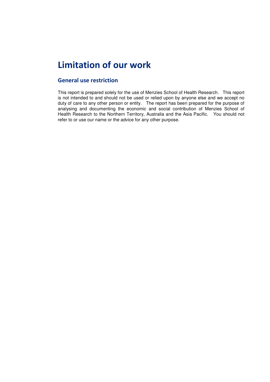# Limitation of our work

## General use restriction

This report is prepared solely for the use of Menzies School of Health Research. This report is not intended to and should not be used or relied upon by anyone else and we accept no duty of care to any other person or entity. The report has been prepared for the purpose of analysing and documenting the economic and social contribution of Menzies School of Health Research to the Northern Territory, Australia and the Asia Pacific. You should not refer to or use our name or the advice for any other purpose.